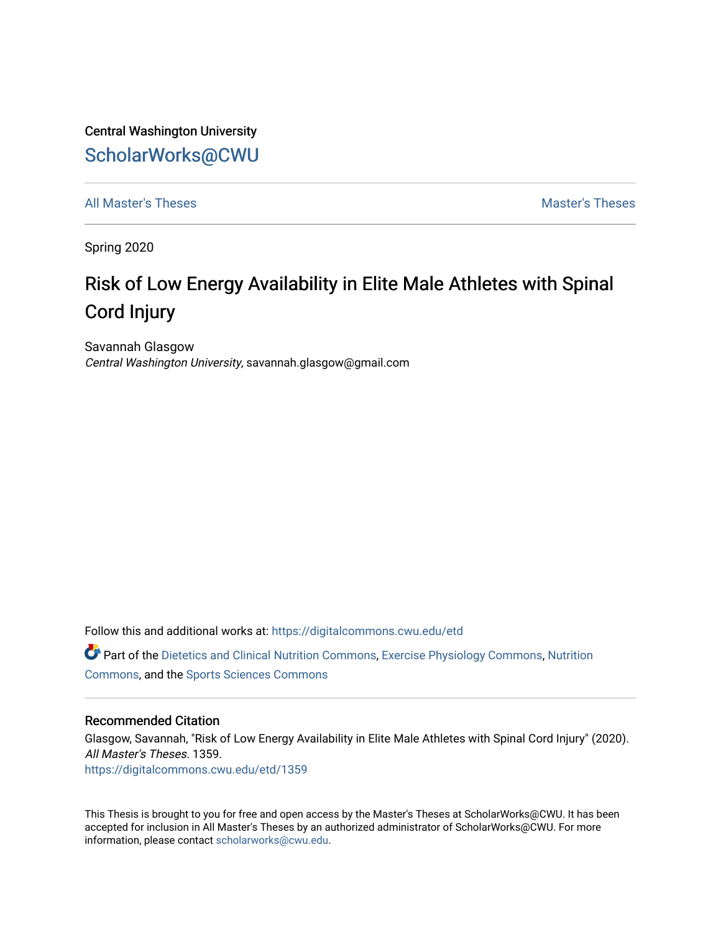Central Washington University [ScholarWorks@CWU](https://digitalcommons.cwu.edu/) 

[All Master's Theses](https://digitalcommons.cwu.edu/etd) and the set of the set of the set of the set of the set of the set of the set of the set of the set of the set of the set of the set of the set of the set of the set of the set of the set of the set of

Spring 2020

# Risk of Low Energy Availability in Elite Male Athletes with Spinal Cord Injury

Savannah Glasgow Central Washington University, savannah.glasgow@gmail.com

Follow this and additional works at: [https://digitalcommons.cwu.edu/etd](https://digitalcommons.cwu.edu/etd?utm_source=digitalcommons.cwu.edu%2Fetd%2F1359&utm_medium=PDF&utm_campaign=PDFCoverPages) 

Part of the [Dietetics and Clinical Nutrition Commons,](http://network.bepress.com/hgg/discipline/662?utm_source=digitalcommons.cwu.edu%2Fetd%2F1359&utm_medium=PDF&utm_campaign=PDFCoverPages) [Exercise Physiology Commons,](http://network.bepress.com/hgg/discipline/73?utm_source=digitalcommons.cwu.edu%2Fetd%2F1359&utm_medium=PDF&utm_campaign=PDFCoverPages) [Nutrition](http://network.bepress.com/hgg/discipline/95?utm_source=digitalcommons.cwu.edu%2Fetd%2F1359&utm_medium=PDF&utm_campaign=PDFCoverPages)  [Commons](http://network.bepress.com/hgg/discipline/95?utm_source=digitalcommons.cwu.edu%2Fetd%2F1359&utm_medium=PDF&utm_campaign=PDFCoverPages), and the [Sports Sciences Commons](http://network.bepress.com/hgg/discipline/759?utm_source=digitalcommons.cwu.edu%2Fetd%2F1359&utm_medium=PDF&utm_campaign=PDFCoverPages) 

#### Recommended Citation

Glasgow, Savannah, "Risk of Low Energy Availability in Elite Male Athletes with Spinal Cord Injury" (2020). All Master's Theses. 1359. [https://digitalcommons.cwu.edu/etd/1359](https://digitalcommons.cwu.edu/etd/1359?utm_source=digitalcommons.cwu.edu%2Fetd%2F1359&utm_medium=PDF&utm_campaign=PDFCoverPages)

This Thesis is brought to you for free and open access by the Master's Theses at ScholarWorks@CWU. It has been accepted for inclusion in All Master's Theses by an authorized administrator of ScholarWorks@CWU. For more information, please contact [scholarworks@cwu.edu.](mailto:scholarworks@cwu.edu)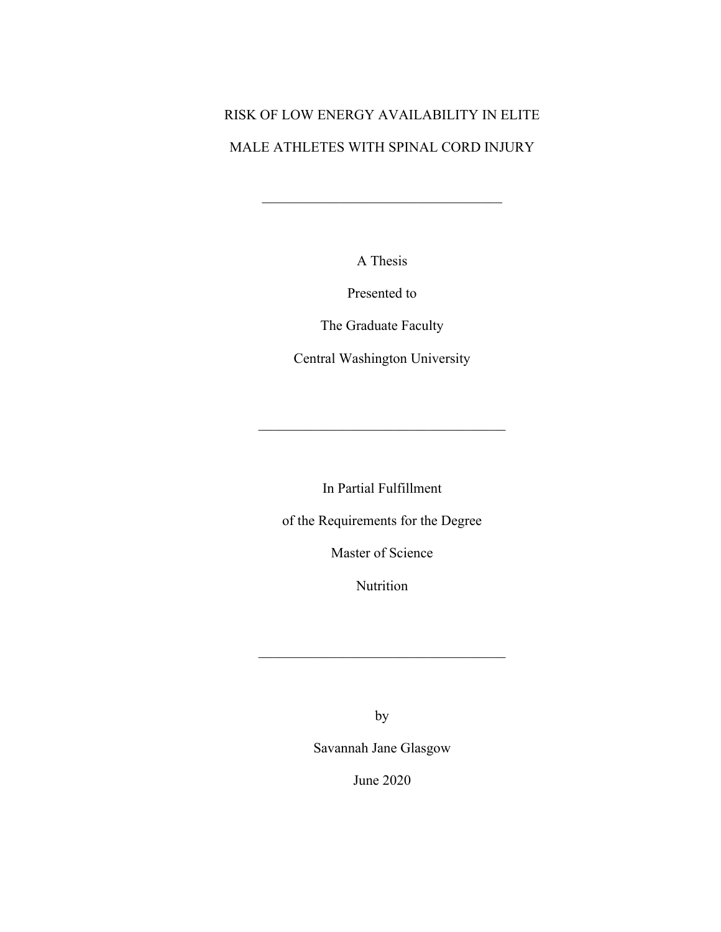# RISK OF LOW ENERGY AVAILABILITY IN ELITE MALE ATHLETES WITH SPINAL CORD INJURY

A Thesis

Presented to

The Graduate Faculty

Central Washington University

In Partial Fulfillment

of the Requirements for the Degree

Master of Science

Nutrition

by

Savannah Jane Glasgow

June 2020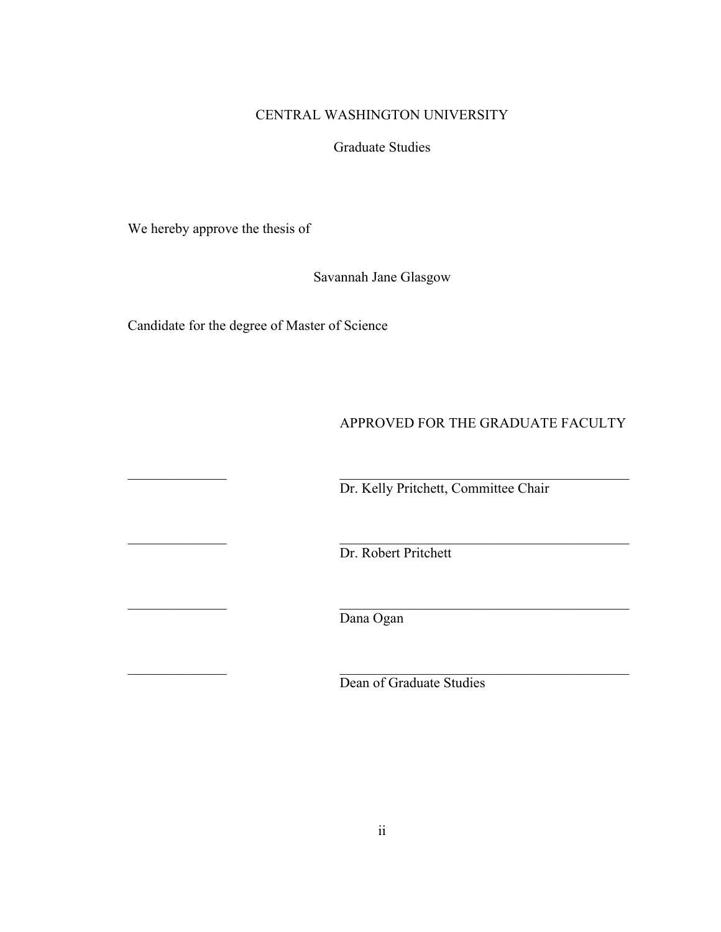# CENTRAL WASHINGTON UNIVERSITY

# Graduate Studies

We hereby approve the thesis of

Savannah Jane Glasgow

Candidate for the degree of Master of Science

# APPROVED FOR THE GRADUATE FACULTY

Dr. Kelly Pritchett, Committee Chair

Dr. Robert Pritchett

\_\_\_\_\_\_\_\_\_\_\_\_\_\_ \_\_\_\_\_\_\_\_\_\_\_\_\_\_\_\_\_\_\_\_\_\_\_\_\_\_\_\_\_\_\_\_\_\_\_\_\_\_\_\_\_ Dana Ogan

Dean of Graduate Studies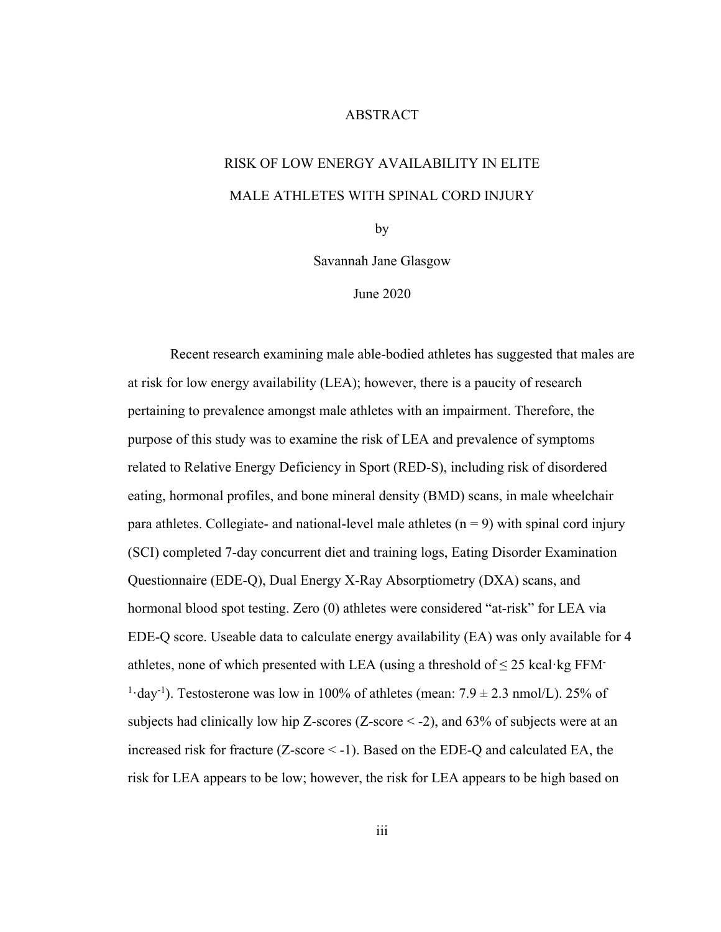### ABSTRACT

# RISK OF LOW ENERGY AVAILABILITY IN ELITE MALE ATHLETES WITH SPINAL CORD INJURY

by

Savannah Jane Glasgow

June 2020

Recent research examining male able-bodied athletes has suggested that males are at risk for low energy availability (LEA); however, there is a paucity of research pertaining to prevalence amongst male athletes with an impairment. Therefore, the purpose of this study was to examine the risk of LEA and prevalence of symptoms related to Relative Energy Deficiency in Sport (RED-S), including risk of disordered eating, hormonal profiles, and bone mineral density (BMD) scans, in male wheelchair para athletes. Collegiate- and national-level male athletes  $(n = 9)$  with spinal cord injury (SCI) completed 7-day concurrent diet and training logs, Eating Disorder Examination Questionnaire (EDE-Q), Dual Energy X-Ray Absorptiometry (DXA) scans, and hormonal blood spot testing. Zero (0) athletes were considered "at-risk" for LEA via EDE-Q score. Useable data to calculate energy availability (EA) was only available for 4 athletes, none of which presented with LEA (using a threshold of  $\leq$  25 kcal·kg FFM-<sup>1</sup> $\cdot$ day<sup>-1</sup>). Testosterone was low in 100% of athletes (mean: 7.9  $\pm$  2.3 nmol/L). 25% of subjects had clinically low hip Z-scores (Z-score  $\le$  -2), and 63% of subjects were at an increased risk for fracture (Z-score < -1). Based on the EDE-Q and calculated EA, the risk for LEA appears to be low; however, the risk for LEA appears to be high based on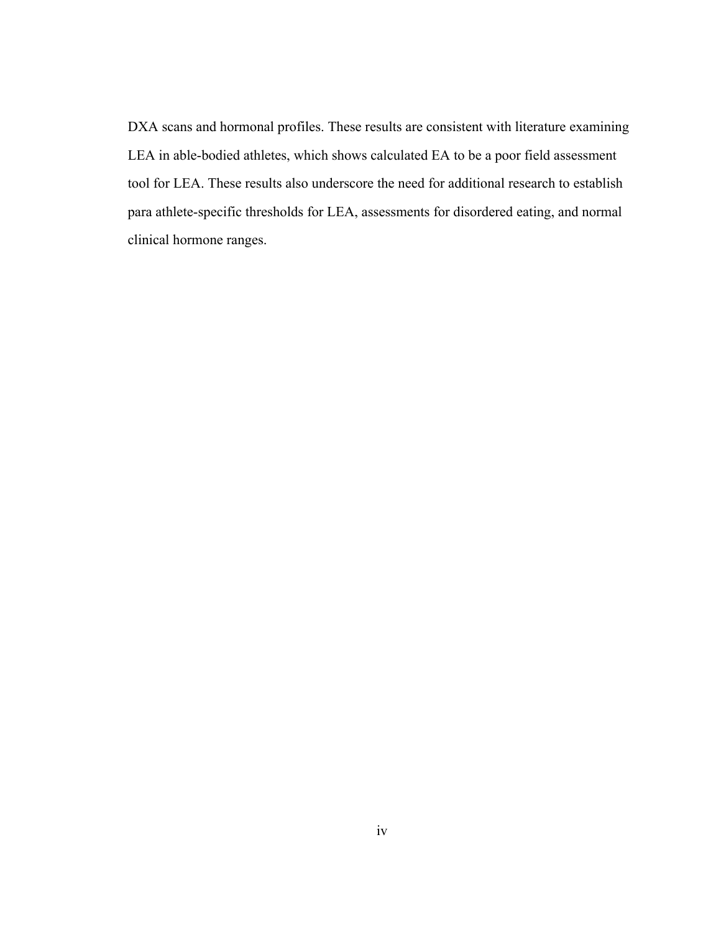DXA scans and hormonal profiles. These results are consistent with literature examining LEA in able-bodied athletes, which shows calculated EA to be a poor field assessment tool for LEA. These results also underscore the need for additional research to establish para athlete-specific thresholds for LEA, assessments for disordered eating, and normal clinical hormone ranges.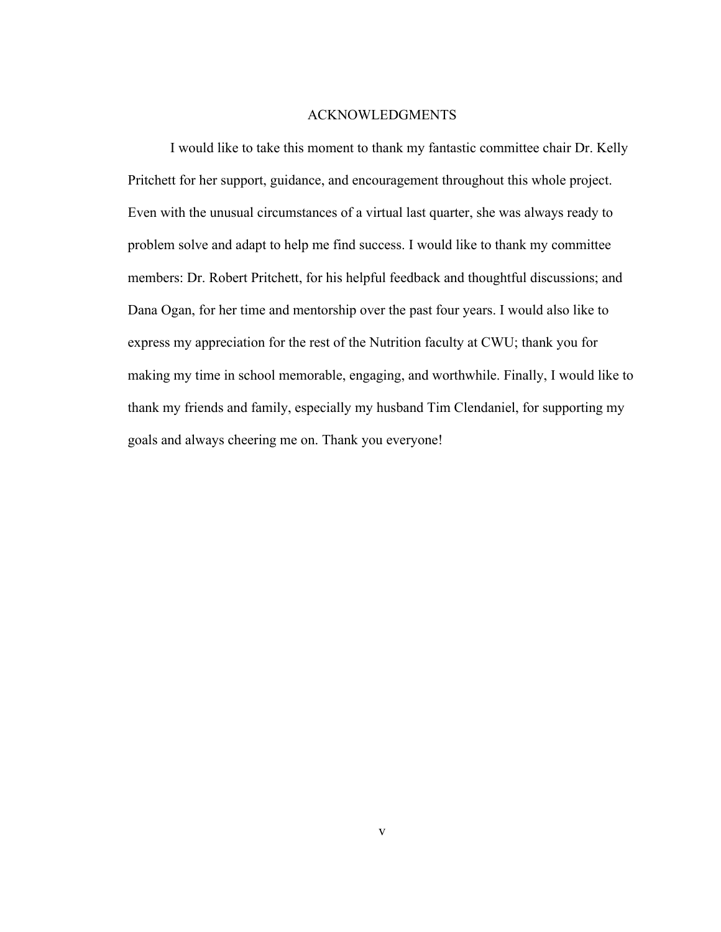#### ACKNOWLEDGMENTS

I would like to take this moment to thank my fantastic committee chair Dr. Kelly Pritchett for her support, guidance, and encouragement throughout this whole project. Even with the unusual circumstances of a virtual last quarter, she was always ready to problem solve and adapt to help me find success. I would like to thank my committee members: Dr. Robert Pritchett, for his helpful feedback and thoughtful discussions; and Dana Ogan, for her time and mentorship over the past four years. I would also like to express my appreciation for the rest of the Nutrition faculty at CWU; thank you for making my time in school memorable, engaging, and worthwhile. Finally, I would like to thank my friends and family, especially my husband Tim Clendaniel, for supporting my goals and always cheering me on. Thank you everyone!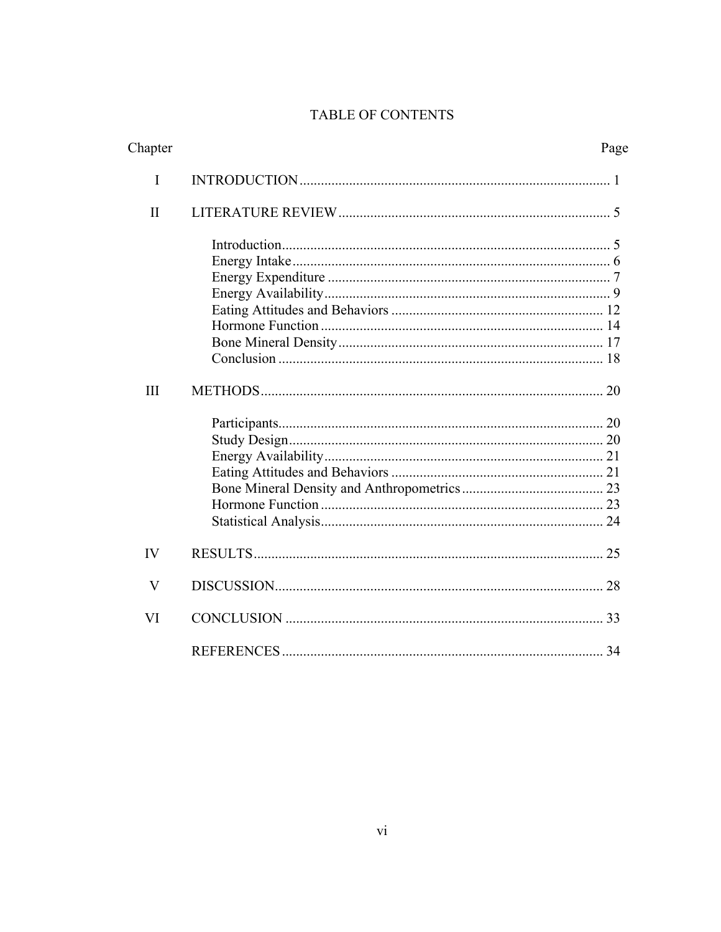# TABLE OF CONTENTS

| Chapter      | Page |
|--------------|------|
| I            |      |
| $\mathbf{I}$ |      |
| III          |      |
| IV           |      |
| V            |      |
| VI           |      |
|              |      |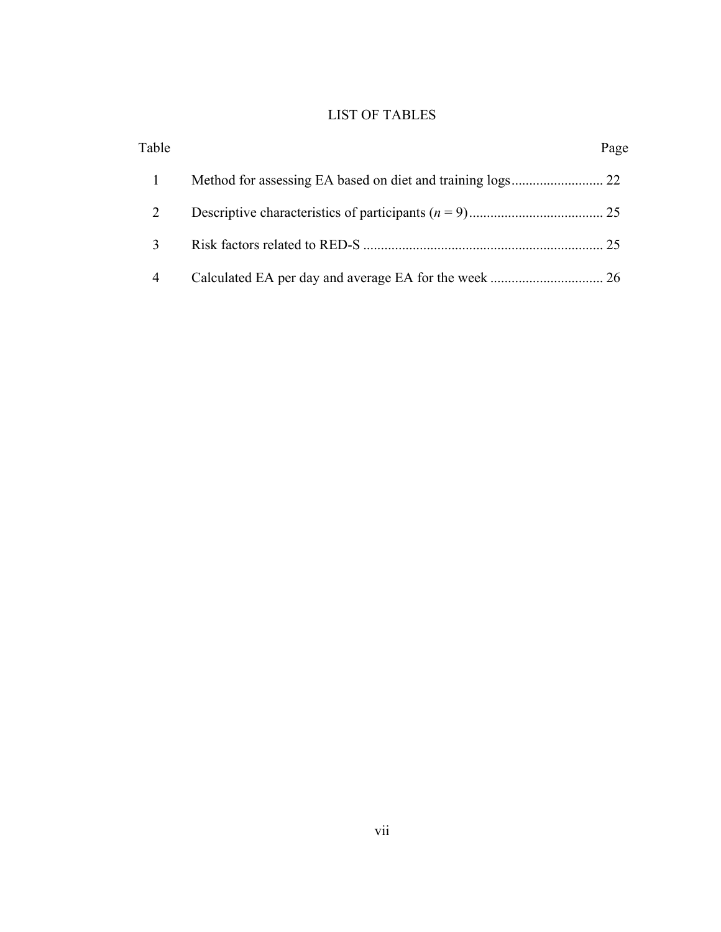# LIST OF TABLES

| Table | Page |
|-------|------|
|       |      |
|       |      |
| 3     |      |
| 4     |      |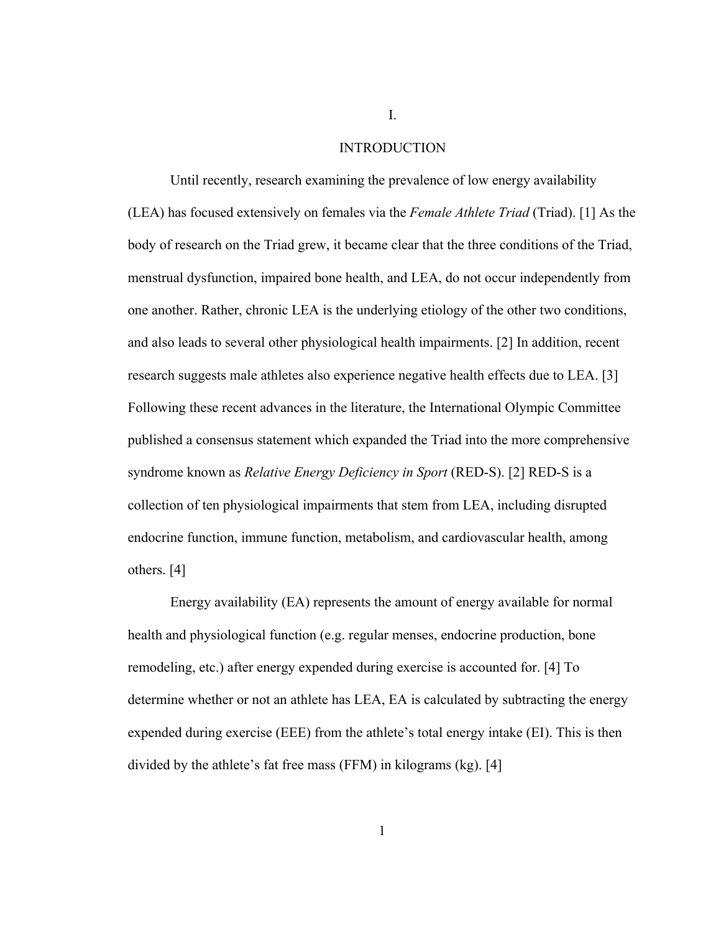#### INTRODUCTION

Until recently, research examining the prevalence of low energy availability (LEA) has focused extensively on females via the *Female Athlete Triad* (Triad). [1] As the body of research on the Triad grew, it became clear that the three conditions of the Triad, menstrual dysfunction, impaired bone health, and LEA, do not occur independently from one another. Rather, chronic LEA is the underlying etiology of the other two conditions, and also leads to several other physiological health impairments. [2] In addition, recent research suggests male athletes also experience negative health effects due to LEA. [3] Following these recent advances in the literature, the International Olympic Committee published a consensus statement which expanded the Triad into the more comprehensive syndrome known as *Relative Energy Deficiency in Sport* (RED-S). [2] RED-S is a collection of ten physiological impairments that stem from LEA, including disrupted endocrine function, immune function, metabolism, and cardiovascular health, among others. [4]

Energy availability (EA) represents the amount of energy available for normal health and physiological function (e.g. regular menses, endocrine production, bone remodeling, etc.) after energy expended during exercise is accounted for. [4] To determine whether or not an athlete has LEA, EA is calculated by subtracting the energy expended during exercise (EEE) from the athlete's total energy intake (EI). This is then divided by the athlete's fat free mass (FFM) in kilograms (kg). [4]

I.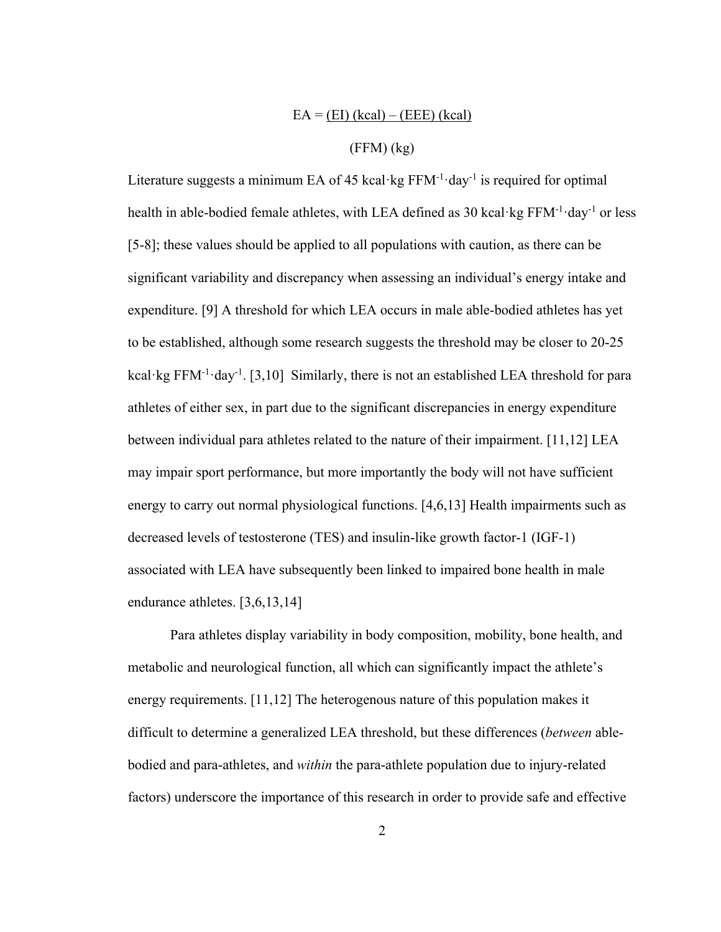# $EA = (EI) (kcal) - (EEE) (kcal)$

# (FFM) (kg)

Literature suggests a minimum EA of 45 kcal·kg  $FFM^{-1}$ ·day<sup>-1</sup> is required for optimal health in able-bodied female athletes, with LEA defined as 30 kcal·kg FFM<sup>-1</sup>·day<sup>-1</sup> or less [5-8]; these values should be applied to all populations with caution, as there can be significant variability and discrepancy when assessing an individual's energy intake and expenditure. [9] A threshold for which LEA occurs in male able-bodied athletes has yet to be established, although some research suggests the threshold may be closer to 20-25 kcal·kg FFM<sup>-1</sup>·day<sup>-1</sup>. [3,10] Similarly, there is not an established LEA threshold for para athletes of either sex, in part due to the significant discrepancies in energy expenditure between individual para athletes related to the nature of their impairment. [11,12] LEA may impair sport performance, but more importantly the body will not have sufficient energy to carry out normal physiological functions. [4,6,13] Health impairments such as decreased levels of testosterone (TES) and insulin-like growth factor-1 (IGF-1) associated with LEA have subsequently been linked to impaired bone health in male endurance athletes. [3,6,13,14]

Para athletes display variability in body composition, mobility, bone health, and metabolic and neurological function, all which can significantly impact the athlete's energy requirements. [11,12] The heterogenous nature of this population makes it difficult to determine a generalized LEA threshold, but these differences (*between* ablebodied and para-athletes, and *within* the para-athlete population due to injury-related factors) underscore the importance of this research in order to provide safe and effective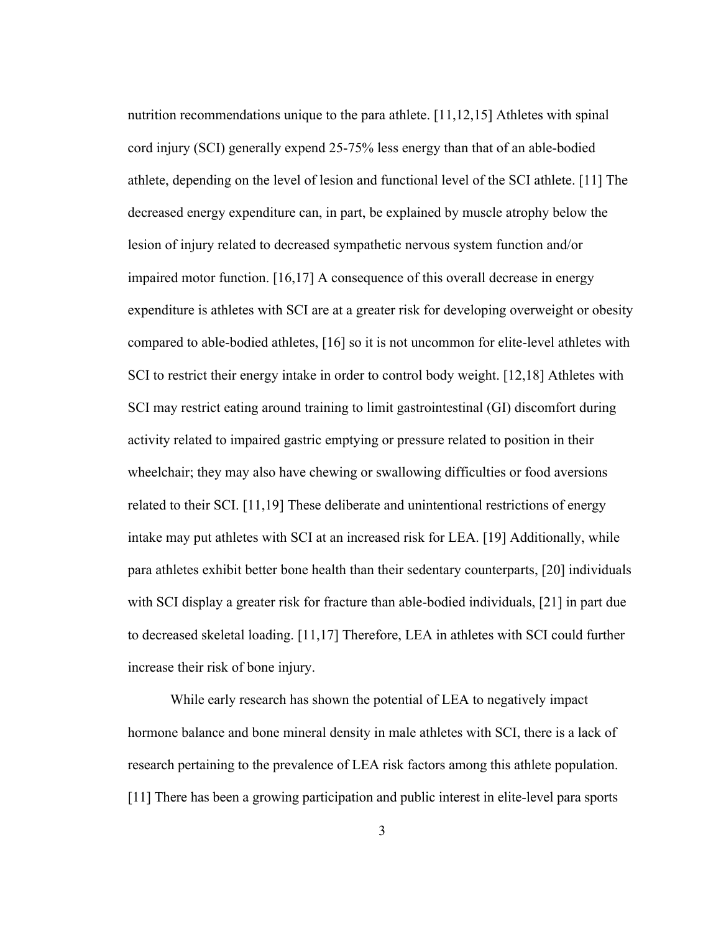nutrition recommendations unique to the para athlete. [11,12,15] Athletes with spinal cord injury (SCI) generally expend 25-75% less energy than that of an able-bodied athlete, depending on the level of lesion and functional level of the SCI athlete. [11] The decreased energy expenditure can, in part, be explained by muscle atrophy below the lesion of injury related to decreased sympathetic nervous system function and/or impaired motor function. [16,17] A consequence of this overall decrease in energy expenditure is athletes with SCI are at a greater risk for developing overweight or obesity compared to able-bodied athletes, [16] so it is not uncommon for elite-level athletes with SCI to restrict their energy intake in order to control body weight. [12,18] Athletes with SCI may restrict eating around training to limit gastrointestinal (GI) discomfort during activity related to impaired gastric emptying or pressure related to position in their wheelchair; they may also have chewing or swallowing difficulties or food aversions related to their SCI. [11,19] These deliberate and unintentional restrictions of energy intake may put athletes with SCI at an increased risk for LEA. [19] Additionally, while para athletes exhibit better bone health than their sedentary counterparts, [20] individuals with SCI display a greater risk for fracture than able-bodied individuals, [21] in part due to decreased skeletal loading. [11,17] Therefore, LEA in athletes with SCI could further increase their risk of bone injury.

While early research has shown the potential of LEA to negatively impact hormone balance and bone mineral density in male athletes with SCI, there is a lack of research pertaining to the prevalence of LEA risk factors among this athlete population. [11] There has been a growing participation and public interest in elite-level para sports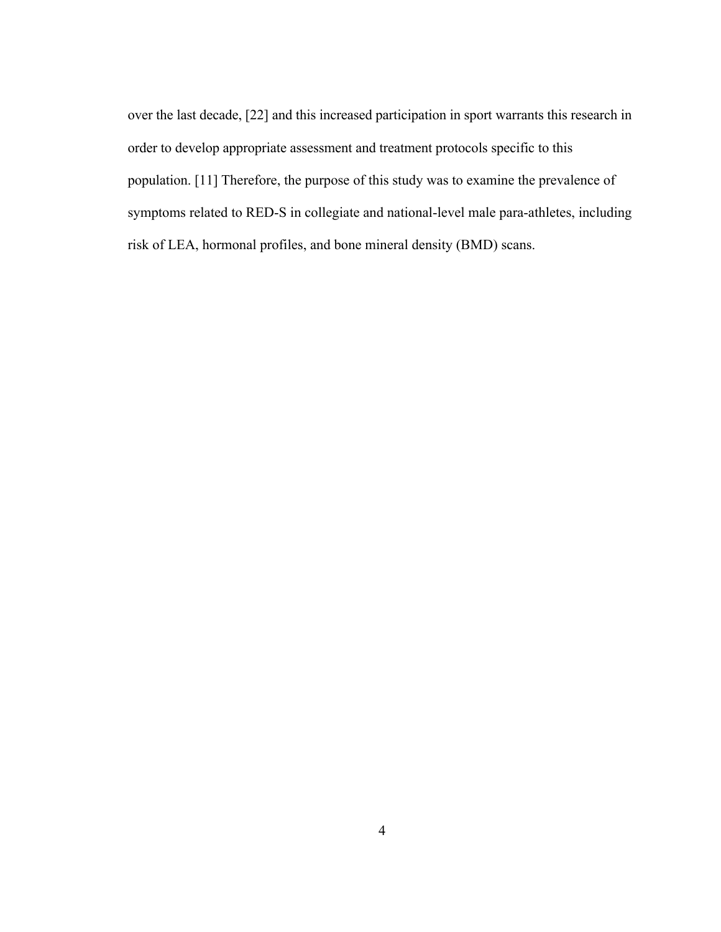over the last decade, [22] and this increased participation in sport warrants this research in order to develop appropriate assessment and treatment protocols specific to this population. [11] Therefore, the purpose of this study was to examine the prevalence of symptoms related to RED-S in collegiate and national-level male para-athletes, including risk of LEA, hormonal profiles, and bone mineral density (BMD) scans.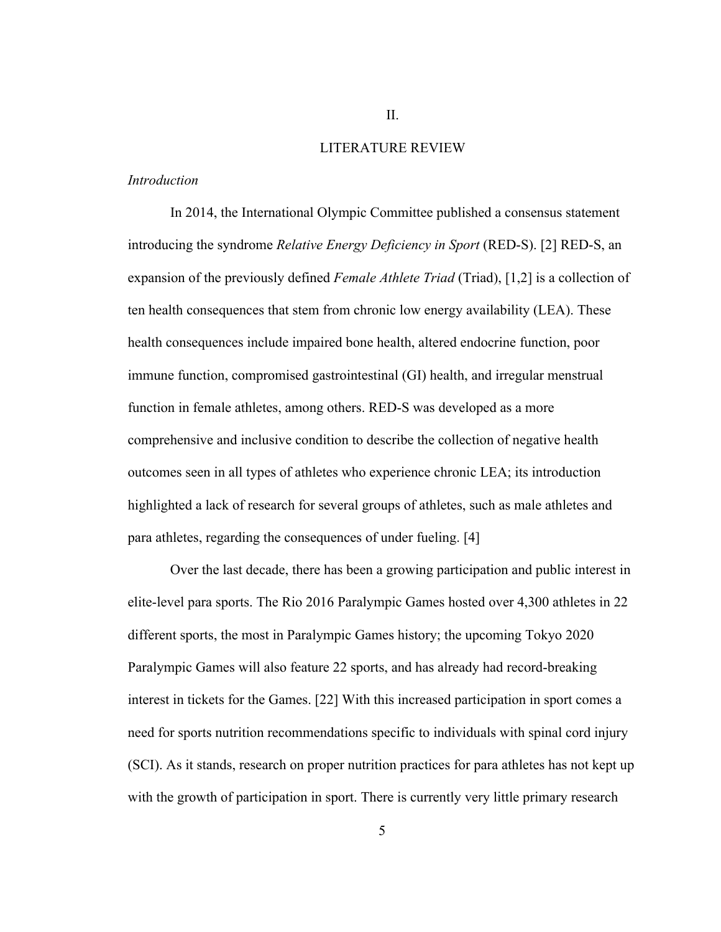#### LITERATURE REVIEW

#### *Introduction*

In 2014, the International Olympic Committee published a consensus statement introducing the syndrome *Relative Energy Deficiency in Sport* (RED-S). [2] RED-S, an expansion of the previously defined *Female Athlete Triad* (Triad), [1,2] is a collection of ten health consequences that stem from chronic low energy availability (LEA). These health consequences include impaired bone health, altered endocrine function, poor immune function, compromised gastrointestinal (GI) health, and irregular menstrual function in female athletes, among others. RED-S was developed as a more comprehensive and inclusive condition to describe the collection of negative health outcomes seen in all types of athletes who experience chronic LEA; its introduction highlighted a lack of research for several groups of athletes, such as male athletes and para athletes, regarding the consequences of under fueling. [4]

Over the last decade, there has been a growing participation and public interest in elite-level para sports. The Rio 2016 Paralympic Games hosted over 4,300 athletes in 22 different sports, the most in Paralympic Games history; the upcoming Tokyo 2020 Paralympic Games will also feature 22 sports, and has already had record-breaking interest in tickets for the Games. [22] With this increased participation in sport comes a need for sports nutrition recommendations specific to individuals with spinal cord injury (SCI). As it stands, research on proper nutrition practices for para athletes has not kept up with the growth of participation in sport. There is currently very little primary research

5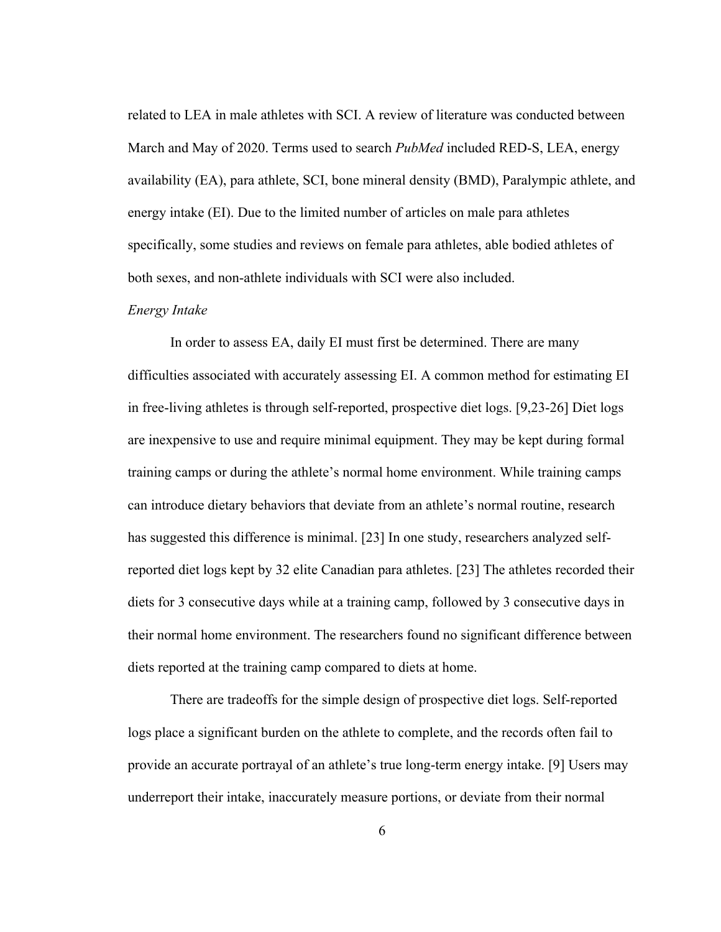related to LEA in male athletes with SCI. A review of literature was conducted between March and May of 2020. Terms used to search *PubMed* included RED-S, LEA, energy availability (EA), para athlete, SCI, bone mineral density (BMD), Paralympic athlete, and energy intake (EI). Due to the limited number of articles on male para athletes specifically, some studies and reviews on female para athletes, able bodied athletes of both sexes, and non-athlete individuals with SCI were also included.

### *Energy Intake*

In order to assess EA, daily EI must first be determined. There are many difficulties associated with accurately assessing EI. A common method for estimating EI in free-living athletes is through self-reported, prospective diet logs. [9,23-26] Diet logs are inexpensive to use and require minimal equipment. They may be kept during formal training camps or during the athlete's normal home environment. While training camps can introduce dietary behaviors that deviate from an athlete's normal routine, research has suggested this difference is minimal. [23] In one study, researchers analyzed selfreported diet logs kept by 32 elite Canadian para athletes. [23] The athletes recorded their diets for 3 consecutive days while at a training camp, followed by 3 consecutive days in their normal home environment. The researchers found no significant difference between diets reported at the training camp compared to diets at home.

There are tradeoffs for the simple design of prospective diet logs. Self-reported logs place a significant burden on the athlete to complete, and the records often fail to provide an accurate portrayal of an athlete's true long-term energy intake. [9] Users may underreport their intake, inaccurately measure portions, or deviate from their normal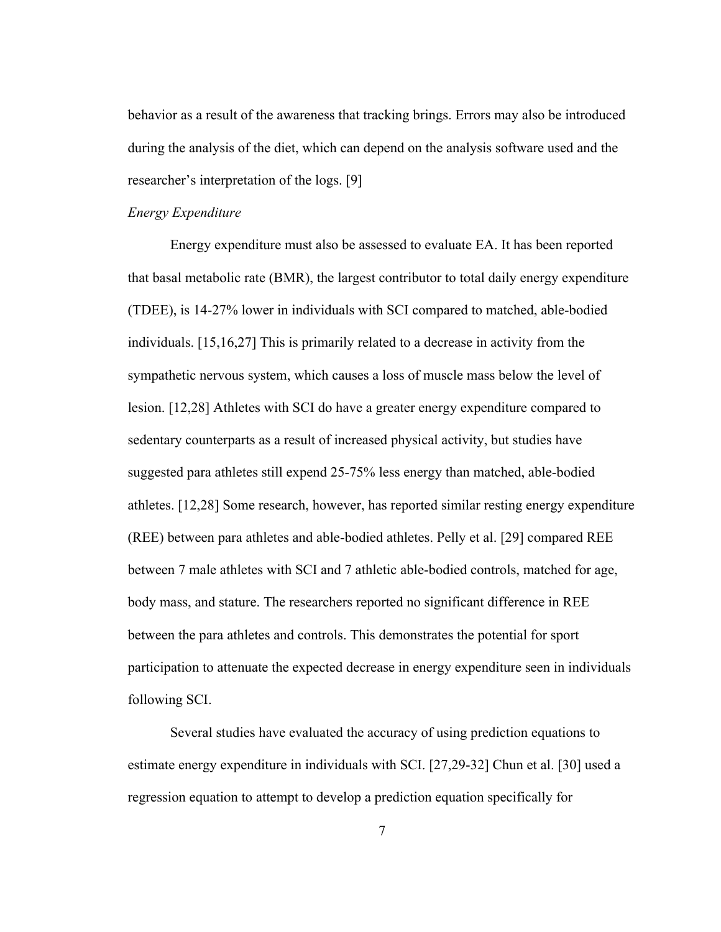behavior as a result of the awareness that tracking brings. Errors may also be introduced during the analysis of the diet, which can depend on the analysis software used and the researcher's interpretation of the logs. [9]

#### *Energy Expenditure*

Energy expenditure must also be assessed to evaluate EA. It has been reported that basal metabolic rate (BMR), the largest contributor to total daily energy expenditure (TDEE), is 14-27% lower in individuals with SCI compared to matched, able-bodied individuals. [15,16,27] This is primarily related to a decrease in activity from the sympathetic nervous system, which causes a loss of muscle mass below the level of lesion. [12,28] Athletes with SCI do have a greater energy expenditure compared to sedentary counterparts as a result of increased physical activity, but studies have suggested para athletes still expend 25-75% less energy than matched, able-bodied athletes. [12,28] Some research, however, has reported similar resting energy expenditure (REE) between para athletes and able-bodied athletes. Pelly et al. [29] compared REE between 7 male athletes with SCI and 7 athletic able-bodied controls, matched for age, body mass, and stature. The researchers reported no significant difference in REE between the para athletes and controls. This demonstrates the potential for sport participation to attenuate the expected decrease in energy expenditure seen in individuals following SCI.

Several studies have evaluated the accuracy of using prediction equations to estimate energy expenditure in individuals with SCI. [27,29-32] Chun et al. [30] used a regression equation to attempt to develop a prediction equation specifically for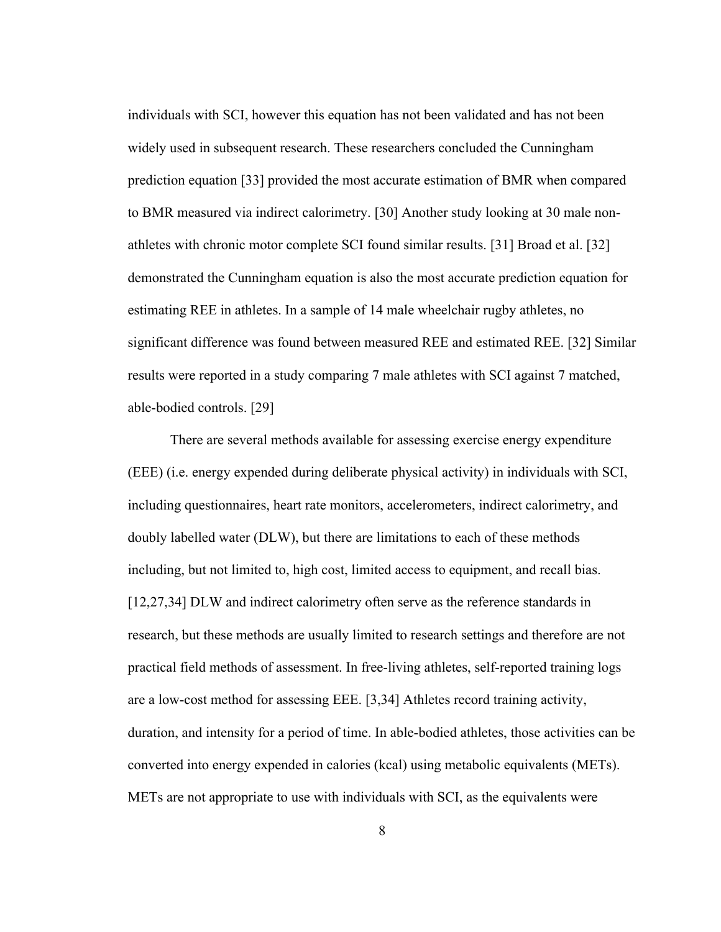individuals with SCI, however this equation has not been validated and has not been widely used in subsequent research. These researchers concluded the Cunningham prediction equation [33] provided the most accurate estimation of BMR when compared to BMR measured via indirect calorimetry. [30] Another study looking at 30 male nonathletes with chronic motor complete SCI found similar results. [31] Broad et al. [32] demonstrated the Cunningham equation is also the most accurate prediction equation for estimating REE in athletes. In a sample of 14 male wheelchair rugby athletes, no significant difference was found between measured REE and estimated REE. [32] Similar results were reported in a study comparing 7 male athletes with SCI against 7 matched, able-bodied controls. [29]

There are several methods available for assessing exercise energy expenditure (EEE) (i.e. energy expended during deliberate physical activity) in individuals with SCI, including questionnaires, heart rate monitors, accelerometers, indirect calorimetry, and doubly labelled water (DLW), but there are limitations to each of these methods including, but not limited to, high cost, limited access to equipment, and recall bias. [12,27,34] DLW and indirect calorimetry often serve as the reference standards in research, but these methods are usually limited to research settings and therefore are not practical field methods of assessment. In free-living athletes, self-reported training logs are a low-cost method for assessing EEE. [3,34] Athletes record training activity, duration, and intensity for a period of time. In able-bodied athletes, those activities can be converted into energy expended in calories (kcal) using metabolic equivalents (METs). METs are not appropriate to use with individuals with SCI, as the equivalents were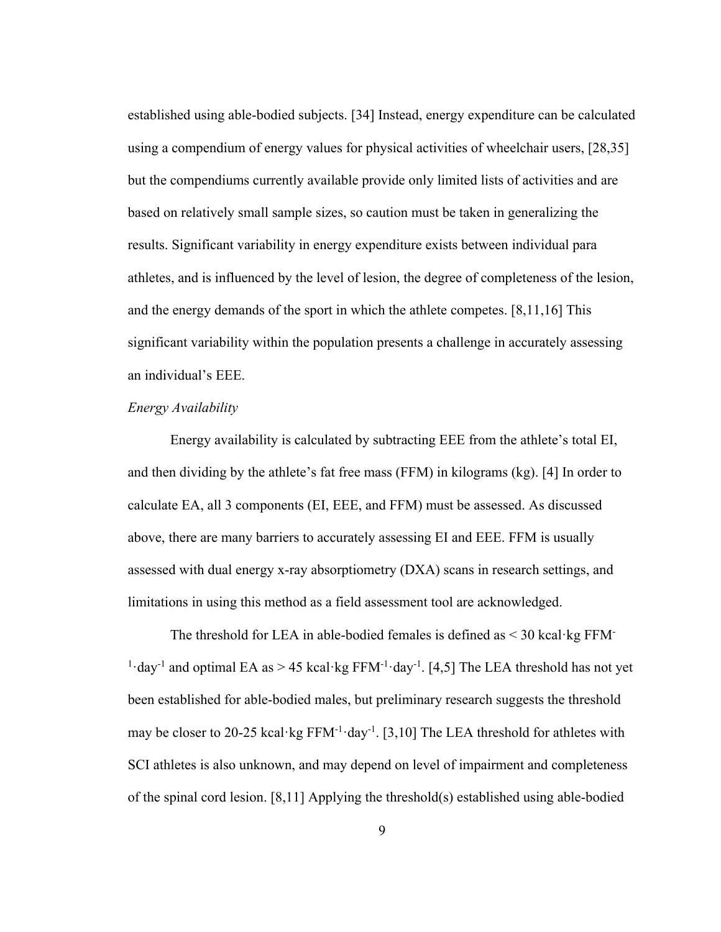established using able-bodied subjects. [34] Instead, energy expenditure can be calculated using a compendium of energy values for physical activities of wheelchair users, [28,35] but the compendiums currently available provide only limited lists of activities and are based on relatively small sample sizes, so caution must be taken in generalizing the results. Significant variability in energy expenditure exists between individual para athletes, and is influenced by the level of lesion, the degree of completeness of the lesion, and the energy demands of the sport in which the athlete competes. [8,11,16] This significant variability within the population presents a challenge in accurately assessing an individual's EEE.

#### *Energy Availability*

Energy availability is calculated by subtracting EEE from the athlete's total EI, and then dividing by the athlete's fat free mass (FFM) in kilograms (kg). [4] In order to calculate EA, all 3 components (EI, EEE, and FFM) must be assessed. As discussed above, there are many barriers to accurately assessing EI and EEE. FFM is usually assessed with dual energy x-ray absorptiometry (DXA) scans in research settings, and limitations in using this method as a field assessment tool are acknowledged.

The threshold for LEA in able-bodied females is defined as  $\leq$  30 kcal·kg FFM-<sup>1</sup>·day<sup>-1</sup> and optimal EA as > 45 kcal·kg FFM<sup>-1</sup>·day<sup>-1</sup>. [4,5] The LEA threshold has not yet been established for able-bodied males, but preliminary research suggests the threshold may be closer to 20-25 kcal·kg  $FFM^{-1}$ ·day<sup>-1</sup>. [3,10] The LEA threshold for athletes with SCI athletes is also unknown, and may depend on level of impairment and completeness of the spinal cord lesion. [8,11] Applying the threshold(s) established using able-bodied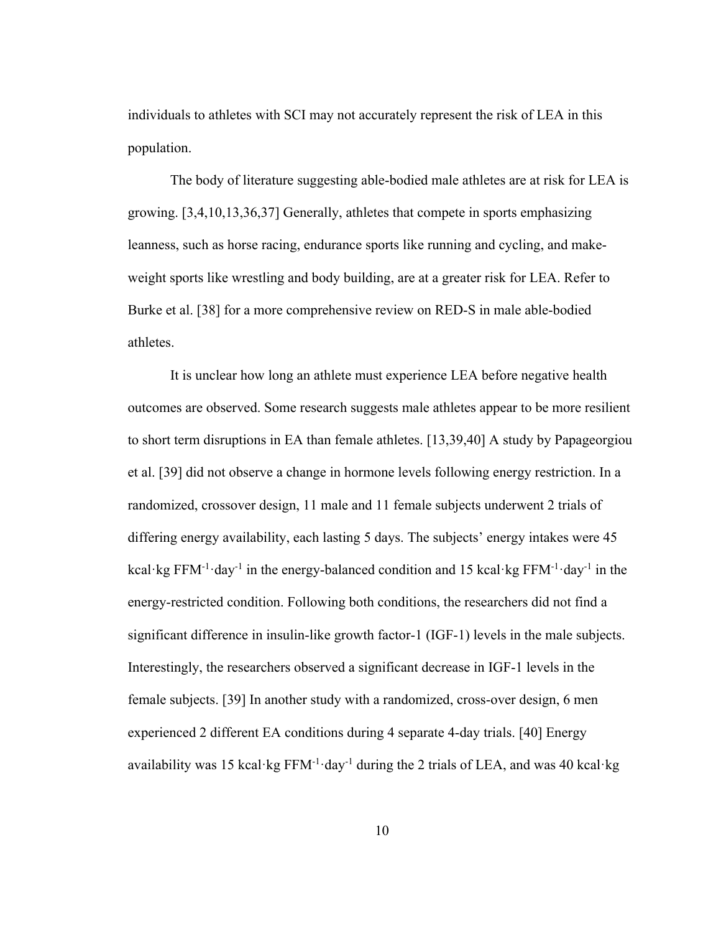individuals to athletes with SCI may not accurately represent the risk of LEA in this population.

The body of literature suggesting able-bodied male athletes are at risk for LEA is growing. [3,4,10,13,36,37] Generally, athletes that compete in sports emphasizing leanness, such as horse racing, endurance sports like running and cycling, and makeweight sports like wrestling and body building, are at a greater risk for LEA. Refer to Burke et al. [38] for a more comprehensive review on RED-S in male able-bodied athletes.

It is unclear how long an athlete must experience LEA before negative health outcomes are observed. Some research suggests male athletes appear to be more resilient to short term disruptions in EA than female athletes. [13,39,40] A study by Papageorgiou et al. [39] did not observe a change in hormone levels following energy restriction. In a randomized, crossover design, 11 male and 11 female subjects underwent 2 trials of differing energy availability, each lasting 5 days. The subjects' energy intakes were 45 kcal·kg FFM<sup>-1</sup>·day<sup>-1</sup> in the energy-balanced condition and 15 kcal·kg FFM<sup>-1</sup>·day<sup>-1</sup> in the energy-restricted condition. Following both conditions, the researchers did not find a significant difference in insulin-like growth factor-1 (IGF-1) levels in the male subjects. Interestingly, the researchers observed a significant decrease in IGF-1 levels in the female subjects. [39] In another study with a randomized, cross-over design, 6 men experienced 2 different EA conditions during 4 separate 4-day trials. [40] Energy availability was 15 kcal·kg  $FFM^{-1}$ ·day<sup>-1</sup> during the 2 trials of LEA, and was 40 kcal·kg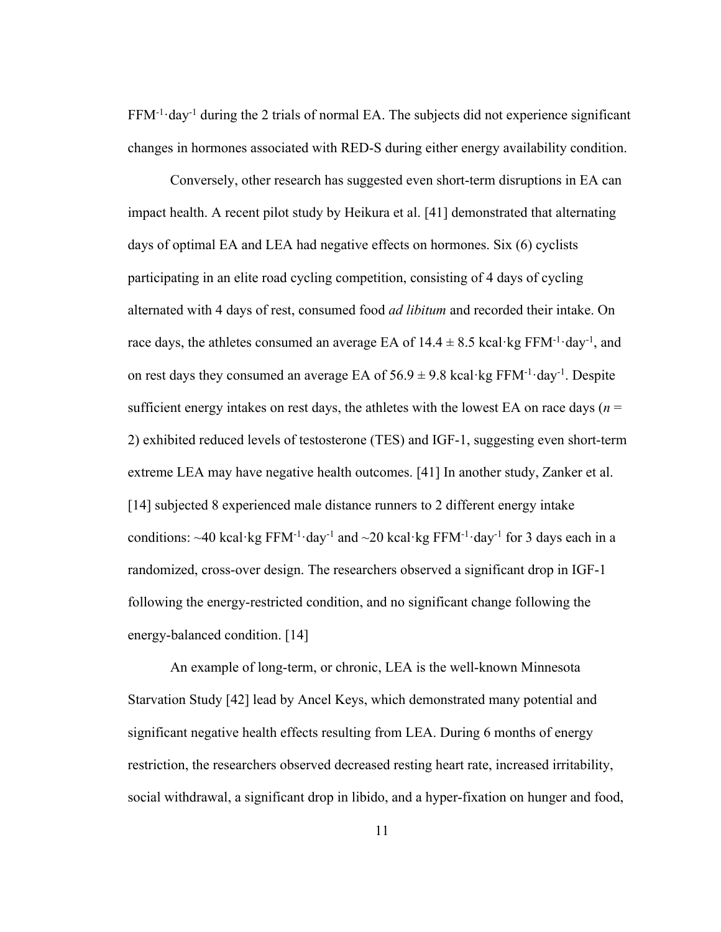$FFM^{-1}$ ·day<sup>-1</sup> during the 2 trials of normal EA. The subjects did not experience significant changes in hormones associated with RED-S during either energy availability condition.

Conversely, other research has suggested even short-term disruptions in EA can impact health. A recent pilot study by Heikura et al. [41] demonstrated that alternating days of optimal EA and LEA had negative effects on hormones. Six (6) cyclists participating in an elite road cycling competition, consisting of 4 days of cycling alternated with 4 days of rest, consumed food *ad libitum* and recorded their intake. On race days, the athletes consumed an average EA of  $14.4 \pm 8.5$  kcal·kg FFM<sup>-1</sup>·day<sup>-1</sup>, and on rest days they consumed an average EA of  $56.9 \pm 9.8$  kcal·kg FFM<sup>-1</sup>·day<sup>-1</sup>. Despite sufficient energy intakes on rest days, the athletes with the lowest EA on race days ( $n =$ 2) exhibited reduced levels of testosterone (TES) and IGF-1, suggesting even short-term extreme LEA may have negative health outcomes. [41] In another study, Zanker et al. [14] subjected 8 experienced male distance runners to 2 different energy intake conditions:  $\sim$ 40 kcal·kg FFM<sup>-1</sup>·day<sup>-1</sup> and  $\sim$ 20 kcal·kg FFM<sup>-1</sup>·day<sup>-1</sup> for 3 days each in a randomized, cross-over design. The researchers observed a significant drop in IGF-1 following the energy-restricted condition, and no significant change following the energy-balanced condition. [14]

An example of long-term, or chronic, LEA is the well-known Minnesota Starvation Study [42] lead by Ancel Keys, which demonstrated many potential and significant negative health effects resulting from LEA. During 6 months of energy restriction, the researchers observed decreased resting heart rate, increased irritability, social withdrawal, a significant drop in libido, and a hyper-fixation on hunger and food,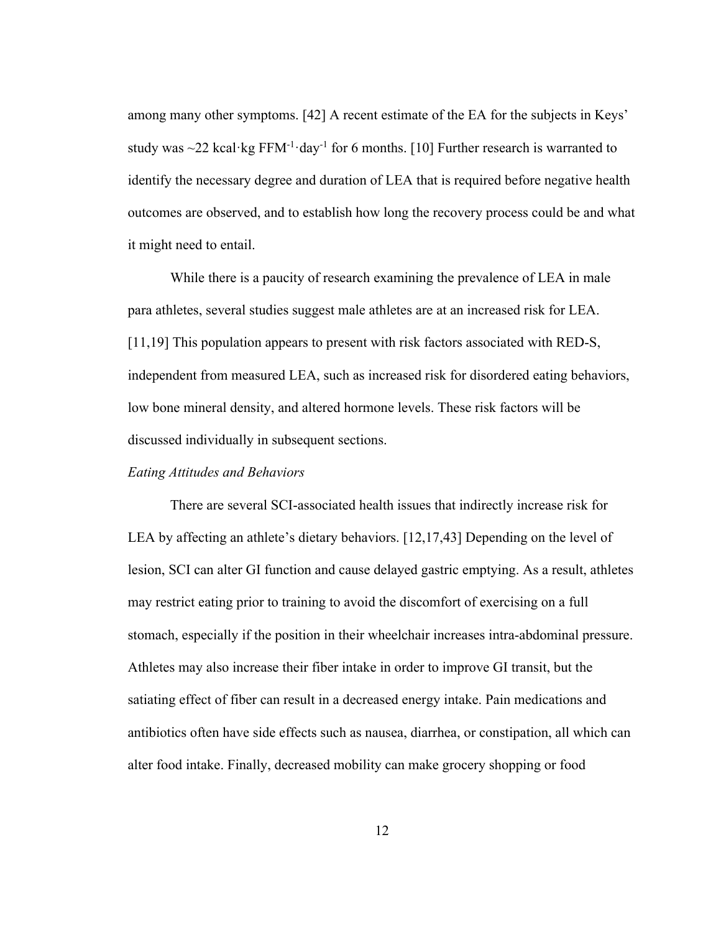among many other symptoms. [42] A recent estimate of the EA for the subjects in Keys' study was  $\sim$ 22 kcal·kg FFM<sup>-1</sup>·day<sup>-1</sup> for 6 months. [10] Further research is warranted to identify the necessary degree and duration of LEA that is required before negative health outcomes are observed, and to establish how long the recovery process could be and what it might need to entail.

While there is a paucity of research examining the prevalence of LEA in male para athletes, several studies suggest male athletes are at an increased risk for LEA. [11,19] This population appears to present with risk factors associated with RED-S, independent from measured LEA, such as increased risk for disordered eating behaviors, low bone mineral density, and altered hormone levels. These risk factors will be discussed individually in subsequent sections.

### *Eating Attitudes and Behaviors*

There are several SCI-associated health issues that indirectly increase risk for LEA by affecting an athlete's dietary behaviors. [12,17,43] Depending on the level of lesion, SCI can alter GI function and cause delayed gastric emptying. As a result, athletes may restrict eating prior to training to avoid the discomfort of exercising on a full stomach, especially if the position in their wheelchair increases intra-abdominal pressure. Athletes may also increase their fiber intake in order to improve GI transit, but the satiating effect of fiber can result in a decreased energy intake. Pain medications and antibiotics often have side effects such as nausea, diarrhea, or constipation, all which can alter food intake. Finally, decreased mobility can make grocery shopping or food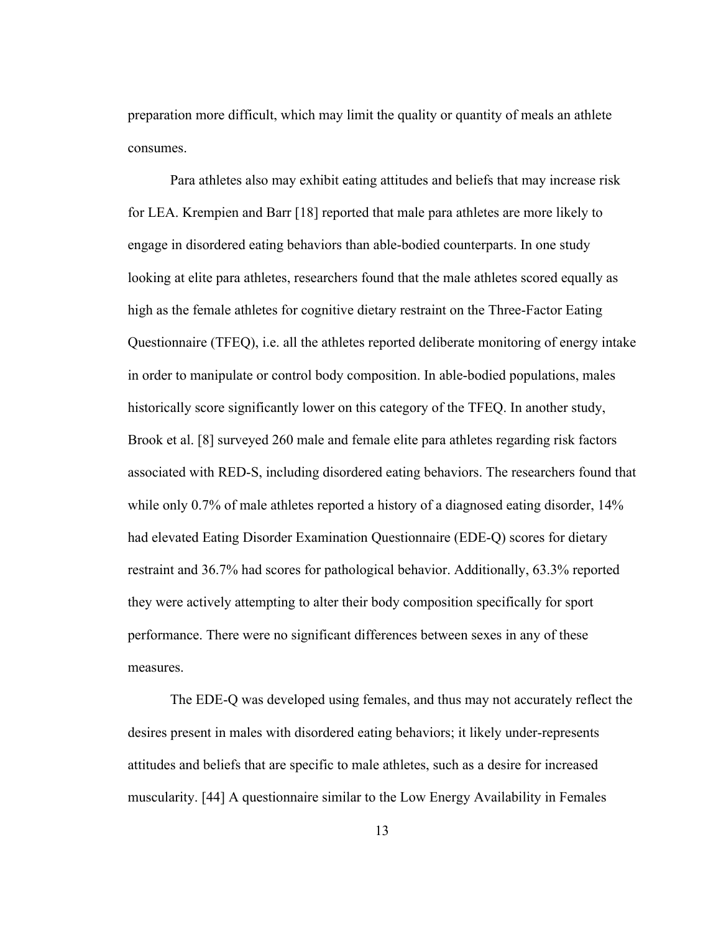preparation more difficult, which may limit the quality or quantity of meals an athlete consumes.

Para athletes also may exhibit eating attitudes and beliefs that may increase risk for LEA. Krempien and Barr [18] reported that male para athletes are more likely to engage in disordered eating behaviors than able-bodied counterparts. In one study looking at elite para athletes, researchers found that the male athletes scored equally as high as the female athletes for cognitive dietary restraint on the Three-Factor Eating Questionnaire (TFEQ), i.e. all the athletes reported deliberate monitoring of energy intake in order to manipulate or control body composition. In able-bodied populations, males historically score significantly lower on this category of the TFEQ. In another study, Brook et al. [8] surveyed 260 male and female elite para athletes regarding risk factors associated with RED-S, including disordered eating behaviors. The researchers found that while only 0.7% of male athletes reported a history of a diagnosed eating disorder, 14% had elevated Eating Disorder Examination Questionnaire (EDE-Q) scores for dietary restraint and 36.7% had scores for pathological behavior. Additionally, 63.3% reported they were actively attempting to alter their body composition specifically for sport performance. There were no significant differences between sexes in any of these measures.

The EDE-Q was developed using females, and thus may not accurately reflect the desires present in males with disordered eating behaviors; it likely under-represents attitudes and beliefs that are specific to male athletes, such as a desire for increased muscularity. [44] A questionnaire similar to the Low Energy Availability in Females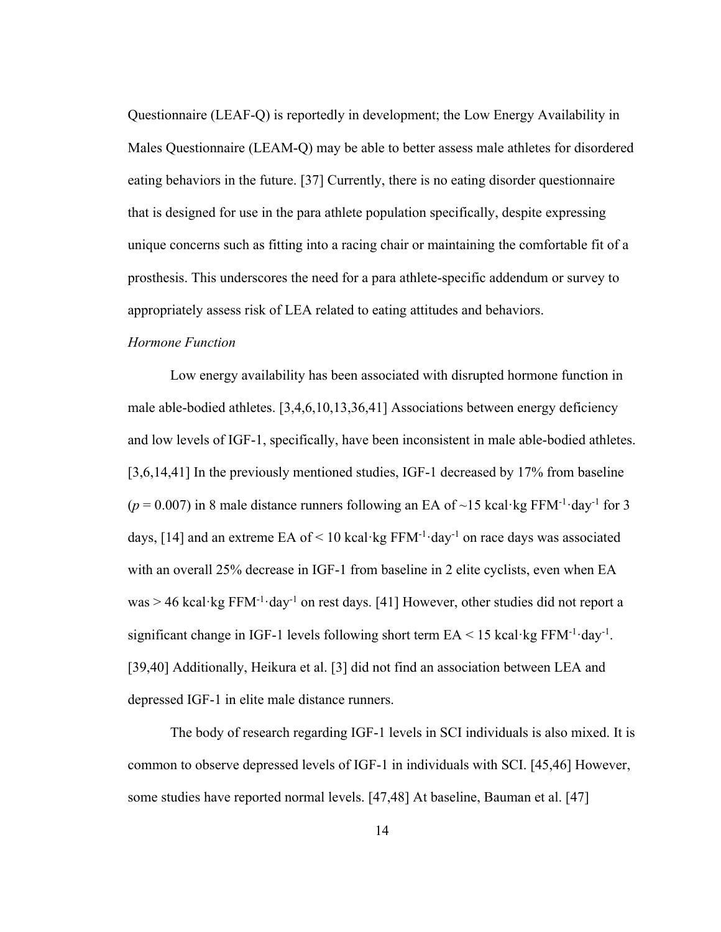Questionnaire (LEAF-Q) is reportedly in development; the Low Energy Availability in Males Questionnaire (LEAM-Q) may be able to better assess male athletes for disordered eating behaviors in the future. [37] Currently, there is no eating disorder questionnaire that is designed for use in the para athlete population specifically, despite expressing unique concerns such as fitting into a racing chair or maintaining the comfortable fit of a prosthesis. This underscores the need for a para athlete-specific addendum or survey to appropriately assess risk of LEA related to eating attitudes and behaviors.

#### *Hormone Function*

Low energy availability has been associated with disrupted hormone function in male able-bodied athletes. [3,4,6,10,13,36,41] Associations between energy deficiency and low levels of IGF-1, specifically, have been inconsistent in male able-bodied athletes. [3,6,14,41] In the previously mentioned studies, IGF-1 decreased by 17% from baseline  $(p = 0.007)$  in 8 male distance runners following an EA of ~15 kcal·kg FFM<sup>-1</sup>·day<sup>-1</sup> for 3 days, [14] and an extreme EA of < 10 kcal·kg  $FFM^{-1}$ ·day<sup>-1</sup> on race days was associated with an overall 25% decrease in IGF-1 from baseline in 2 elite cyclists, even when EA  $was > 46$  kcal·kg FFM<sup>-1</sup>·day<sup>-1</sup> on rest days. [41] However, other studies did not report a significant change in IGF-1 levels following short term  $EA < 15$  kcal·kg FFM<sup>-1</sup>·day<sup>-1</sup>. [39,40] Additionally, Heikura et al. [3] did not find an association between LEA and depressed IGF-1 in elite male distance runners.

The body of research regarding IGF-1 levels in SCI individuals is also mixed. It is common to observe depressed levels of IGF-1 in individuals with SCI. [45,46] However, some studies have reported normal levels. [47,48] At baseline, Bauman et al. [47]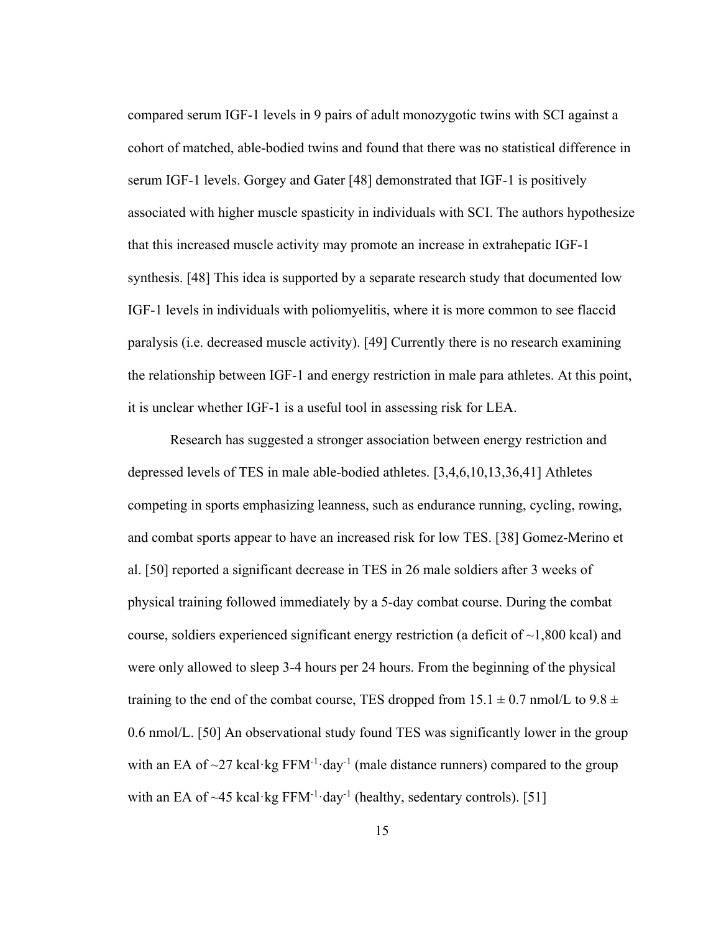compared serum IGF-1 levels in 9 pairs of adult monozygotic twins with SCI against a cohort of matched, able-bodied twins and found that there was no statistical difference in serum IGF-1 levels. Gorgey and Gater [48] demonstrated that IGF-1 is positively associated with higher muscle spasticity in individuals with SCI. The authors hypothesize that this increased muscle activity may promote an increase in extrahepatic IGF-1 synthesis. [48] This idea is supported by a separate research study that documented low IGF-1 levels in individuals with poliomyelitis, where it is more common to see flaccid paralysis (i.e. decreased muscle activity). [49] Currently there is no research examining the relationship between IGF-1 and energy restriction in male para athletes. At this point, it is unclear whether IGF-1 is a useful tool in assessing risk for LEA.

Research has suggested a stronger association between energy restriction and depressed levels of TES in male able-bodied athletes. [3,4,6,10,13,36,41] Athletes competing in sports emphasizing leanness, such as endurance running, cycling, rowing, and combat sports appear to have an increased risk for low TES. [38] Gomez-Merino et al. [50] reported a significant decrease in TES in 26 male soldiers after 3 weeks of physical training followed immediately by a 5-day combat course. During the combat course, soldiers experienced significant energy restriction (a deficit of  $\sim$ 1,800 kcal) and were only allowed to sleep 3-4 hours per 24 hours. From the beginning of the physical training to the end of the combat course, TES dropped from  $15.1 \pm 0.7$  nmol/L to  $9.8 \pm$ 0.6 nmol/L. [50] An observational study found TES was significantly lower in the group with an EA of  $\sim$ 27 kcal·kg FFM<sup>-1</sup>·day<sup>-1</sup> (male distance runners) compared to the group with an EA of  $\sim$ 45 kcal·kg FFM<sup>-1</sup>·day<sup>-1</sup> (healthy, sedentary controls). [51]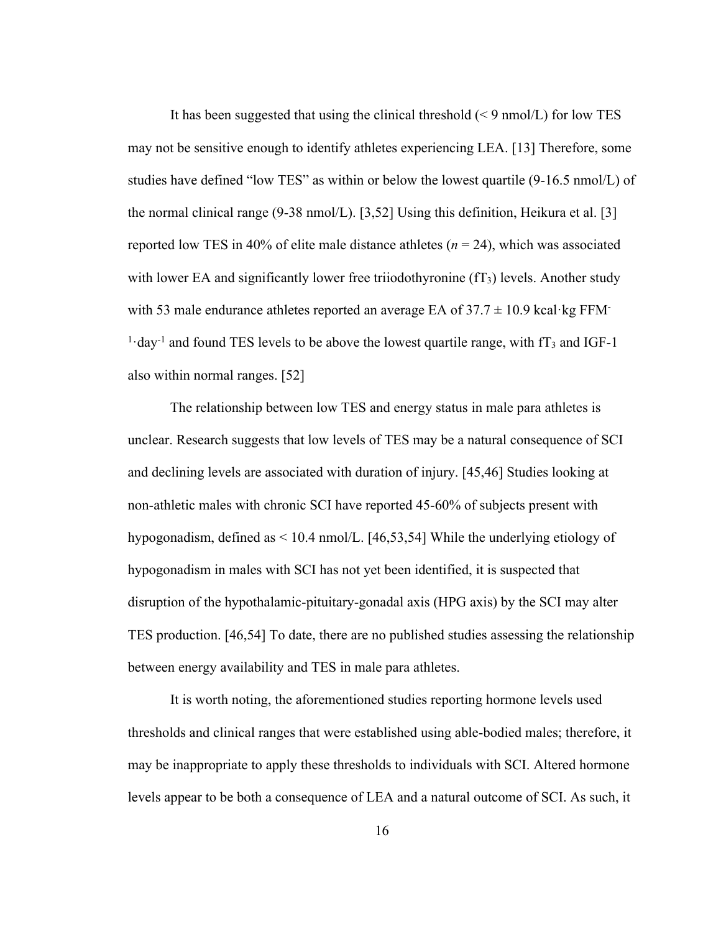It has been suggested that using the clinical threshold  $(< 9 \text{ nmol/L})$  for low TES may not be sensitive enough to identify athletes experiencing LEA. [13] Therefore, some studies have defined "low TES" as within or below the lowest quartile (9-16.5 nmol/L) of the normal clinical range (9-38 nmol/L). [3,52] Using this definition, Heikura et al. [3] reported low TES in 40% of elite male distance athletes (*n* = 24), which was associated with lower EA and significantly lower free triiodothyronine  $(T_3)$  levels. Another study with 53 male endurance athletes reported an average EA of  $37.7 \pm 10.9$  kcal·kg FFM- $<sup>1</sup>$  day<sup>-1</sup> and found TES levels to be above the lowest quartile range, with fT<sub>3</sub> and IGF-1</sup> also within normal ranges. [52]

The relationship between low TES and energy status in male para athletes is unclear. Research suggests that low levels of TES may be a natural consequence of SCI and declining levels are associated with duration of injury. [45,46] Studies looking at non-athletic males with chronic SCI have reported 45-60% of subjects present with hypogonadism, defined as < 10.4 nmol/L. [46,53,54] While the underlying etiology of hypogonadism in males with SCI has not yet been identified, it is suspected that disruption of the hypothalamic-pituitary-gonadal axis (HPG axis) by the SCI may alter TES production. [46,54] To date, there are no published studies assessing the relationship between energy availability and TES in male para athletes.

It is worth noting, the aforementioned studies reporting hormone levels used thresholds and clinical ranges that were established using able-bodied males; therefore, it may be inappropriate to apply these thresholds to individuals with SCI. Altered hormone levels appear to be both a consequence of LEA and a natural outcome of SCI. As such, it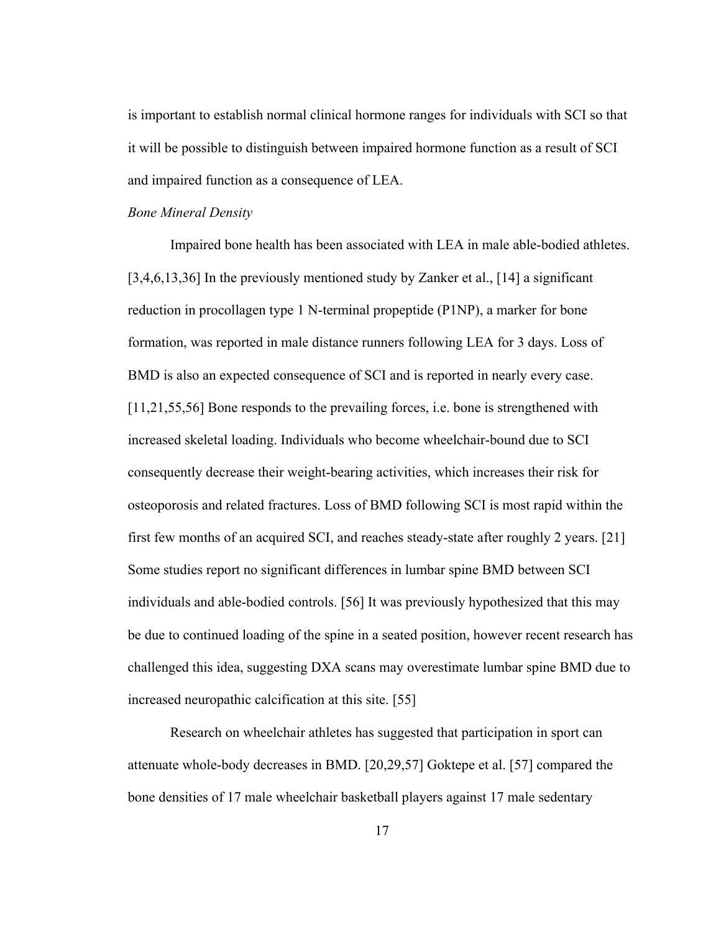is important to establish normal clinical hormone ranges for individuals with SCI so that it will be possible to distinguish between impaired hormone function as a result of SCI and impaired function as a consequence of LEA.

#### *Bone Mineral Density*

Impaired bone health has been associated with LEA in male able-bodied athletes. [3,4,6,13,36] In the previously mentioned study by Zanker et al., [14] a significant reduction in procollagen type 1 N-terminal propeptide (P1NP), a marker for bone formation, was reported in male distance runners following LEA for 3 days. Loss of BMD is also an expected consequence of SCI and is reported in nearly every case. [11,21,55,56] Bone responds to the prevailing forces, i.e. bone is strengthened with increased skeletal loading. Individuals who become wheelchair-bound due to SCI consequently decrease their weight-bearing activities, which increases their risk for osteoporosis and related fractures. Loss of BMD following SCI is most rapid within the first few months of an acquired SCI, and reaches steady-state after roughly 2 years. [21] Some studies report no significant differences in lumbar spine BMD between SCI individuals and able-bodied controls. [56] It was previously hypothesized that this may be due to continued loading of the spine in a seated position, however recent research has challenged this idea, suggesting DXA scans may overestimate lumbar spine BMD due to increased neuropathic calcification at this site. [55]

Research on wheelchair athletes has suggested that participation in sport can attenuate whole-body decreases in BMD. [20,29,57] Goktepe et al. [57] compared the bone densities of 17 male wheelchair basketball players against 17 male sedentary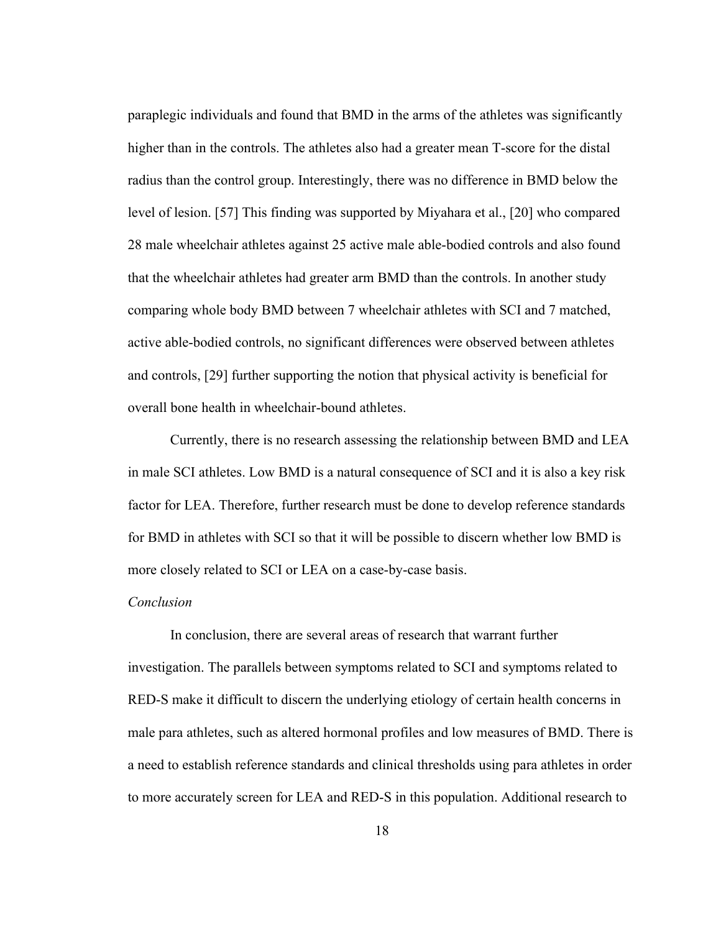paraplegic individuals and found that BMD in the arms of the athletes was significantly higher than in the controls. The athletes also had a greater mean T-score for the distal radius than the control group. Interestingly, there was no difference in BMD below the level of lesion. [57] This finding was supported by Miyahara et al., [20] who compared 28 male wheelchair athletes against 25 active male able-bodied controls and also found that the wheelchair athletes had greater arm BMD than the controls. In another study comparing whole body BMD between 7 wheelchair athletes with SCI and 7 matched, active able-bodied controls, no significant differences were observed between athletes and controls, [29] further supporting the notion that physical activity is beneficial for overall bone health in wheelchair-bound athletes.

Currently, there is no research assessing the relationship between BMD and LEA in male SCI athletes. Low BMD is a natural consequence of SCI and it is also a key risk factor for LEA. Therefore, further research must be done to develop reference standards for BMD in athletes with SCI so that it will be possible to discern whether low BMD is more closely related to SCI or LEA on a case-by-case basis.

## *Conclusion*

In conclusion, there are several areas of research that warrant further investigation. The parallels between symptoms related to SCI and symptoms related to RED-S make it difficult to discern the underlying etiology of certain health concerns in male para athletes, such as altered hormonal profiles and low measures of BMD. There is a need to establish reference standards and clinical thresholds using para athletes in order to more accurately screen for LEA and RED-S in this population. Additional research to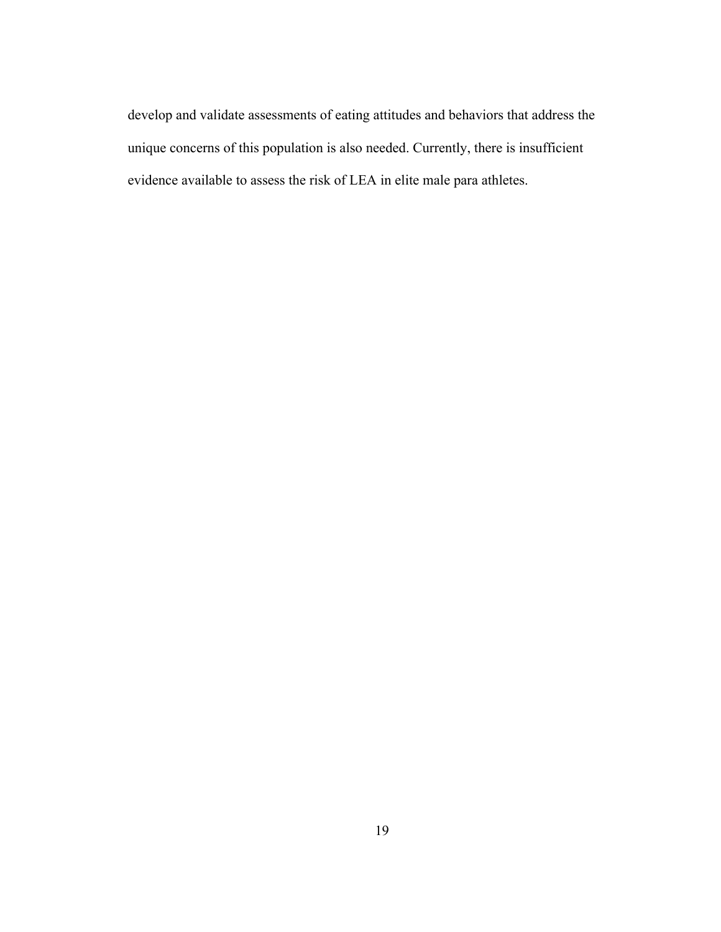develop and validate assessments of eating attitudes and behaviors that address the unique concerns of this population is also needed. Currently, there is insufficient evidence available to assess the risk of LEA in elite male para athletes.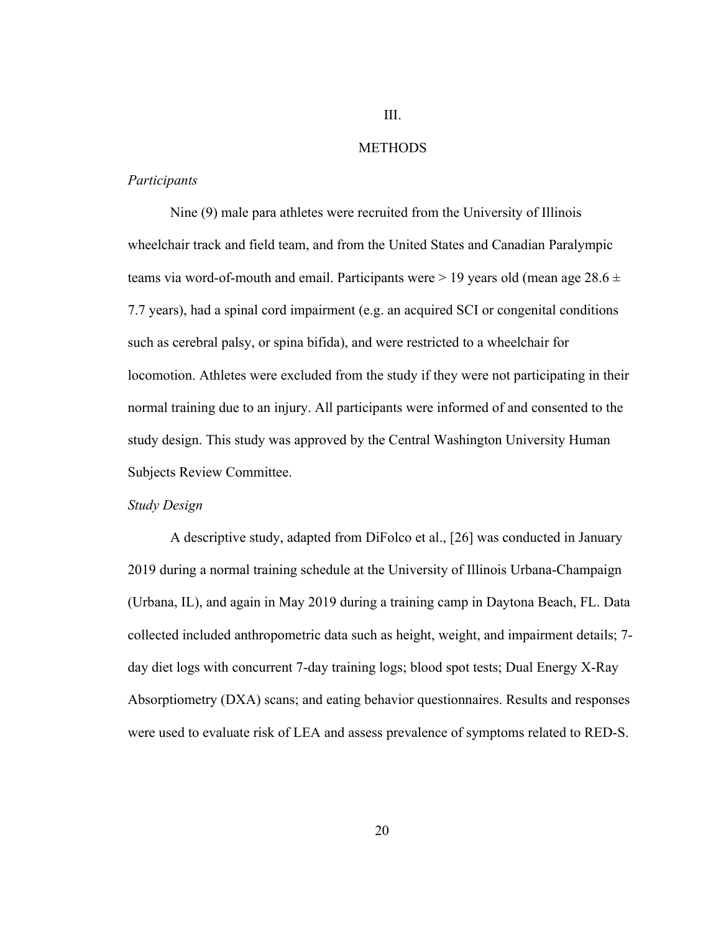# III.

## METHODS

#### *Participants*

Nine (9) male para athletes were recruited from the University of Illinois wheelchair track and field team, and from the United States and Canadian Paralympic teams via word-of-mouth and email. Participants were  $> 19$  years old (mean age 28.6  $\pm$ 7.7 years), had a spinal cord impairment (e.g. an acquired SCI or congenital conditions such as cerebral palsy, or spina bifida), and were restricted to a wheelchair for locomotion. Athletes were excluded from the study if they were not participating in their normal training due to an injury. All participants were informed of and consented to the study design. This study was approved by the Central Washington University Human Subjects Review Committee.

## *Study Design*

A descriptive study, adapted from DiFolco et al., [26] was conducted in January 2019 during a normal training schedule at the University of Illinois Urbana-Champaign (Urbana, IL), and again in May 2019 during a training camp in Daytona Beach, FL. Data collected included anthropometric data such as height, weight, and impairment details; 7 day diet logs with concurrent 7-day training logs; blood spot tests; Dual Energy X-Ray Absorptiometry (DXA) scans; and eating behavior questionnaires. Results and responses were used to evaluate risk of LEA and assess prevalence of symptoms related to RED-S.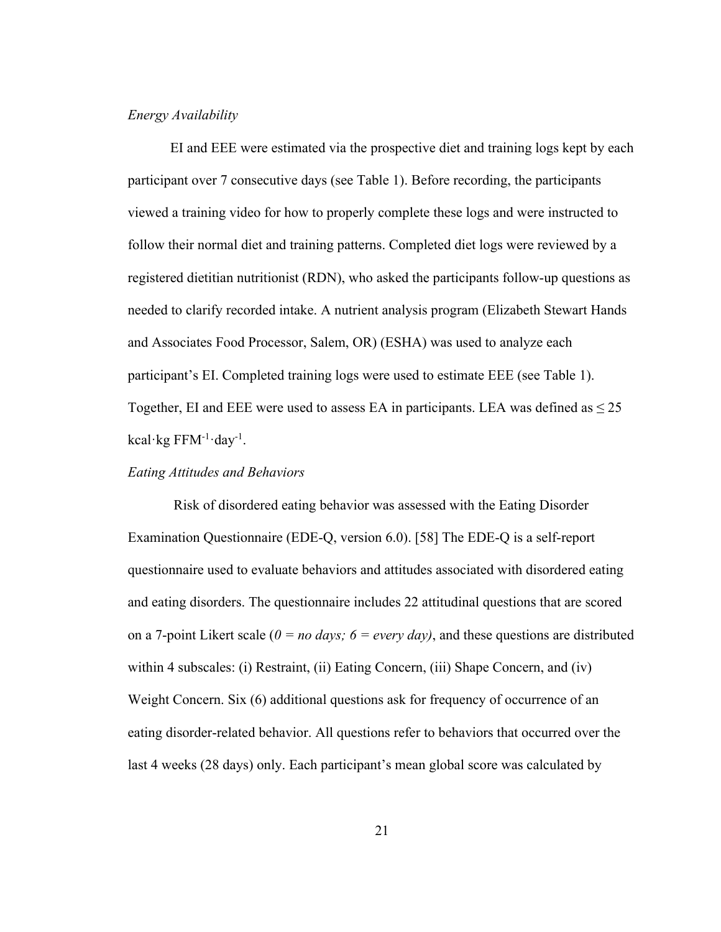## *Energy Availability*

EI and EEE were estimated via the prospective diet and training logs kept by each participant over 7 consecutive days (see Table 1). Before recording, the participants viewed a training video for how to properly complete these logs and were instructed to follow their normal diet and training patterns. Completed diet logs were reviewed by a registered dietitian nutritionist (RDN), who asked the participants follow-up questions as needed to clarify recorded intake. A nutrient analysis program (Elizabeth Stewart Hands and Associates Food Processor, Salem, OR) (ESHA) was used to analyze each participant's EI. Completed training logs were used to estimate EEE (see Table 1). Together, EI and EEE were used to assess EA in participants. LEA was defined as  $\leq 25$ kcal·kg FFM<sup>-1</sup>·day<sup>-1</sup>.

### *Eating Attitudes and Behaviors*

Risk of disordered eating behavior was assessed with the Eating Disorder Examination Questionnaire (EDE-Q, version 6.0). [58] The EDE-Q is a self-report questionnaire used to evaluate behaviors and attitudes associated with disordered eating and eating disorders. The questionnaire includes 22 attitudinal questions that are scored on a 7-point Likert scale  $(0 = no \, days; \, 6 = every \, day)$ , and these questions are distributed within 4 subscales: (i) Restraint, (ii) Eating Concern, (iii) Shape Concern, and (iv) Weight Concern. Six (6) additional questions ask for frequency of occurrence of an eating disorder-related behavior. All questions refer to behaviors that occurred over the last 4 weeks (28 days) only. Each participant's mean global score was calculated by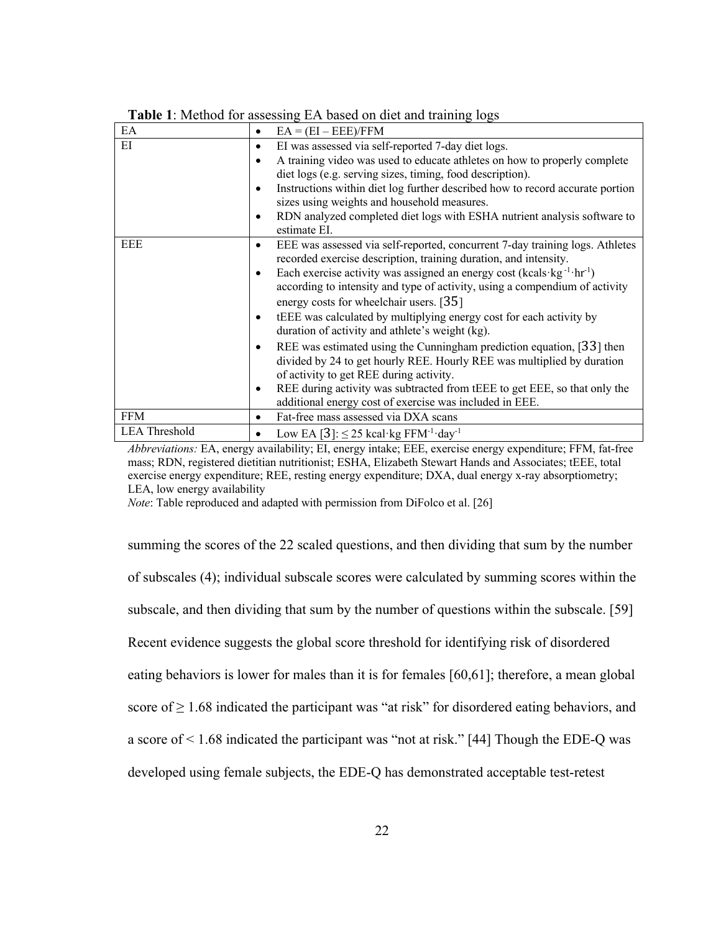| EA                   | $EA = (EI - EEE)/FFM$<br>٠                                                             |
|----------------------|----------------------------------------------------------------------------------------|
| EI                   | EI was assessed via self-reported 7-day diet logs.<br>$\bullet$                        |
|                      | A training video was used to educate athletes on how to properly complete<br>$\bullet$ |
|                      | diet logs (e.g. serving sizes, timing, food description).                              |
|                      | Instructions within diet log further described how to record accurate portion<br>٠     |
|                      | sizes using weights and household measures.                                            |
|                      | RDN analyzed completed diet logs with ESHA nutrient analysis software to               |
|                      | estimate EI.                                                                           |
| EEE                  | EEE was assessed via self-reported, concurrent 7-day training logs. Athletes<br>٠      |
|                      | recorded exercise description, training duration, and intensity.                       |
|                      | Each exercise activity was assigned an energy cost (kcals·kg-1·hr-1)<br>٠              |
|                      | according to intensity and type of activity, using a compendium of activity            |
|                      | energy costs for wheelchair users. [35]                                                |
|                      | tEEE was calculated by multiplying energy cost for each activity by<br>٠               |
|                      | duration of activity and athlete's weight (kg).                                        |
|                      | REE was estimated using the Cunningham prediction equation, [33] then<br>٠             |
|                      | divided by 24 to get hourly REE. Hourly REE was multiplied by duration                 |
|                      | of activity to get REE during activity.                                                |
|                      | REE during activity was subtracted from tEEE to get EEE, so that only the<br>٠         |
|                      | additional energy cost of exercise was included in EEE.                                |
| <b>FFM</b>           | Fat-free mass assessed via DXA scans<br>٠                                              |
| <b>LEA Threshold</b> | Low EA [3]: $\leq$ 25 kcal·kg FFM <sup>-1</sup> ·day <sup>-1</sup><br>٠                |

|  |  | Table 1: Method for assessing EA based on diet and training logs |  |  |  |  |
|--|--|------------------------------------------------------------------|--|--|--|--|
|--|--|------------------------------------------------------------------|--|--|--|--|

*Abbreviations:* EA, energy availability; EI, energy intake; EEE, exercise energy expenditure; FFM, fat-free mass; RDN, registered dietitian nutritionist; ESHA, Elizabeth Stewart Hands and Associates; tEEE, total exercise energy expenditure; REE, resting energy expenditure; DXA, dual energy x-ray absorptiometry; LEA, low energy availability

*Note*: Table reproduced and adapted with permission from DiFolco et al. [26]

summing the scores of the 22 scaled questions, and then dividing that sum by the number of subscales (4); individual subscale scores were calculated by summing scores within the subscale, and then dividing that sum by the number of questions within the subscale. [59] Recent evidence suggests the global score threshold for identifying risk of disordered eating behaviors is lower for males than it is for females [60,61]; therefore, a mean global score of  $\geq 1.68$  indicated the participant was "at risk" for disordered eating behaviors, and a score of < 1.68 indicated the participant was "not at risk." [44] Though the EDE-Q was developed using female subjects, the EDE-Q has demonstrated acceptable test-retest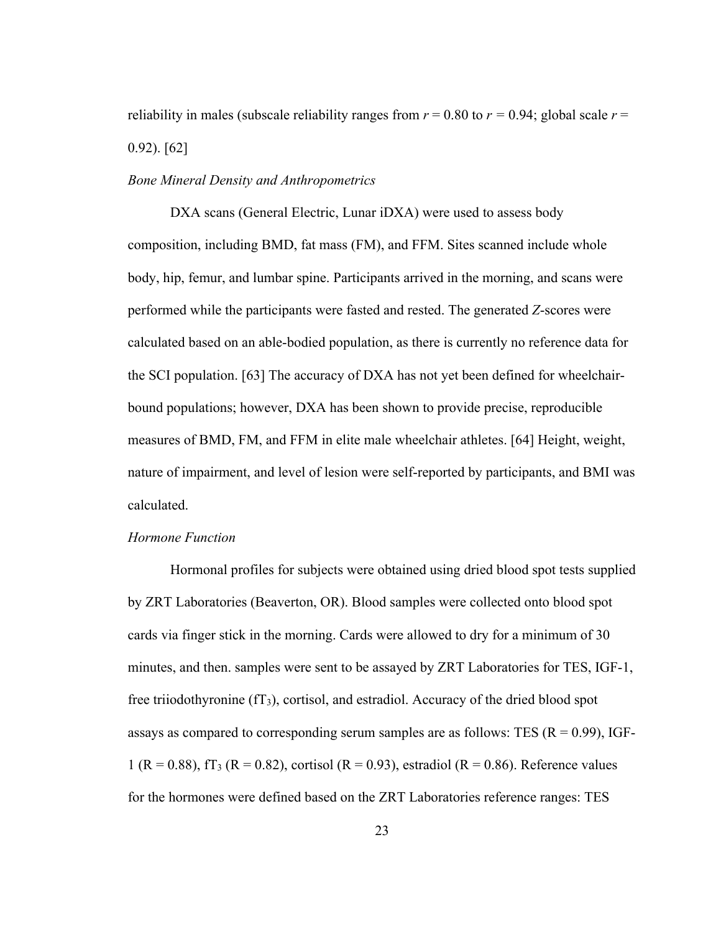reliability in males (subscale reliability ranges from  $r = 0.80$  to  $r = 0.94$ ; global scale  $r =$ 0.92). [62]

#### *Bone Mineral Density and Anthropometrics*

DXA scans (General Electric, Lunar iDXA) were used to assess body composition, including BMD, fat mass (FM), and FFM. Sites scanned include whole body, hip, femur, and lumbar spine. Participants arrived in the morning, and scans were performed while the participants were fasted and rested. The generated *Z*-scores were calculated based on an able-bodied population, as there is currently no reference data for the SCI population. [63] The accuracy of DXA has not yet been defined for wheelchairbound populations; however, DXA has been shown to provide precise, reproducible measures of BMD, FM, and FFM in elite male wheelchair athletes. [64] Height, weight, nature of impairment, and level of lesion were self-reported by participants, and BMI was calculated.

## *Hormone Function*

Hormonal profiles for subjects were obtained using dried blood spot tests supplied by ZRT Laboratories (Beaverton, OR). Blood samples were collected onto blood spot cards via finger stick in the morning. Cards were allowed to dry for a minimum of 30 minutes, and then. samples were sent to be assayed by ZRT Laboratories for TES, IGF-1, free triiodothyronine  $(fT_3)$ , cortisol, and estradiol. Accuracy of the dried blood spot assays as compared to corresponding serum samples are as follows: TES  $(R = 0.99)$ , IGF-1 (R = 0.88), fT<sub>3</sub> (R = 0.82), cortisol (R = 0.93), estradiol (R = 0.86). Reference values for the hormones were defined based on the ZRT Laboratories reference ranges: TES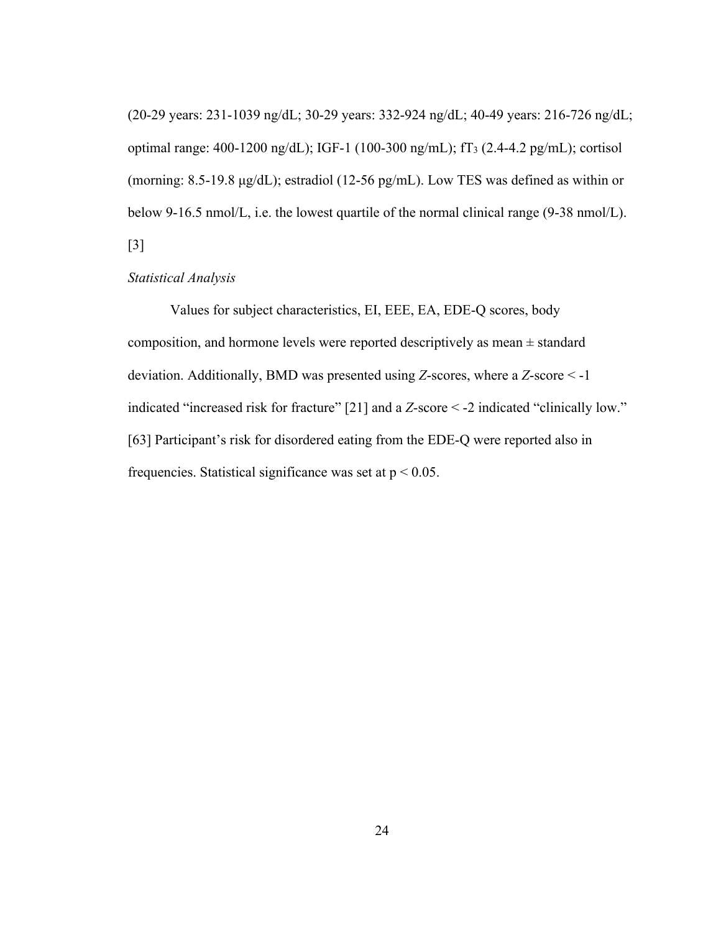(20-29 years: 231-1039 ng/dL; 30-29 years: 332-924 ng/dL; 40-49 years: 216-726 ng/dL; optimal range: 400-1200 ng/dL); IGF-1 (100-300 ng/mL); fT3 (2.4-4.2 pg/mL); cortisol (morning: 8.5-19.8 μg/dL); estradiol (12-56 pg/mL). Low TES was defined as within or below 9-16.5 nmol/L, i.e. the lowest quartile of the normal clinical range (9-38 nmol/L). [3]

## *Statistical Analysis*

Values for subject characteristics, EI, EEE, EA, EDE-Q scores, body composition, and hormone levels were reported descriptively as mean  $\pm$  standard deviation. Additionally, BMD was presented using *Z*-scores, where a *Z*-score < -1 indicated "increased risk for fracture" [21] and a *Z*-score < -2 indicated "clinically low." [63] Participant's risk for disordered eating from the EDE-Q were reported also in frequencies. Statistical significance was set at  $p < 0.05$ .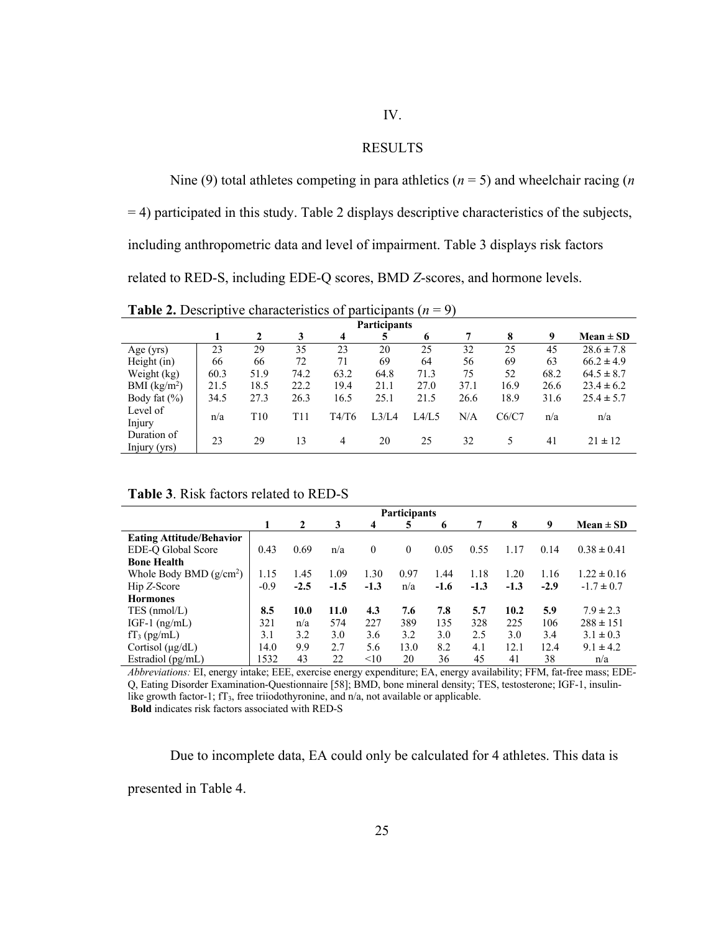# IV.

#### RESULTS

Nine (9) total athletes competing in para athletics (*n* = 5) and wheelchair racing (*n* = 4) participated in this study. Table 2 displays descriptive characteristics of the subjects, including anthropometric data and level of impairment. Table 3 displays risk factors related to RED-S, including EDE-Q scores, BMD *Z*-scores, and hormone levels.

**Table 2.** Descriptive characteristics of participants  $(n = 9)$ 

| <b>Participants</b>         |      |                 |      |                |       |       |      |       |      |                |  |
|-----------------------------|------|-----------------|------|----------------|-------|-------|------|-------|------|----------------|--|
|                             |      | 2               | 3    | $\overline{4}$ |       | 6     | 7    | 8     | 9    | Mean $\pm$ SD  |  |
| Age $(yrs)$                 | 23   | 29              | 35   | 23             | 20    | 25    | 32   | 25    | 45   | $28.6 \pm 7.8$ |  |
| Height $(in)$               | 66   | 66              | 72   | 71             | 69    | 64    | 56   | 69    | 63   | $66.2 \pm 4.9$ |  |
| Weight (kg)                 | 60.3 | 51.9            | 74.2 | 63.2           | 64.8  | 71.3  | 75   | 52    | 68.2 | $64.5 \pm 8.7$ |  |
| BMI (kg/m <sup>2</sup> )    | 21.5 | 18.5            | 22.2 | 19.4           | 21.1  | 27.0  | 37.1 | 16.9  | 26.6 | $23.4 \pm 6.2$ |  |
| Body fat $(\% )$            | 34.5 | 27.3            | 26.3 | 16.5           | 25.1  | 21.5  | 26.6 | 18.9  | 31.6 | $25.4 \pm 5.7$ |  |
| Level of<br>Injury          | n/a  | T <sub>10</sub> | T11  | T4/T6          | L3/L4 | L4/L5 | N/A  | C6/C7 | n/a  | n/a            |  |
| Duration of<br>Injury (yrs) | 23   | 29              | 13   | 4              | 20    | 25    | 32   | 5     | 41   | $21 \pm 12$    |  |

**Table 3**. Risk factors related to RED-S

|                                 |        | <b>Participants</b> |        |          |      |        |        |        |        |                 |
|---------------------------------|--------|---------------------|--------|----------|------|--------|--------|--------|--------|-----------------|
|                                 | 1      | 2                   | 3      | 4        | 5    | 6      | 7      | 8      | 9      | $Mean \pm SD$   |
| <b>Eating Attitude/Behavior</b> |        |                     |        |          |      |        |        |        |        |                 |
| EDE-Q Global Score              | 0.43   | 0.69                | n/a    | $\theta$ | 0    | 0.05   | 0.55   | 1.17   | 0.14   | $0.38 \pm 0.41$ |
| <b>Bone Health</b>              |        |                     |        |          |      |        |        |        |        |                 |
| Whole Body BMD $(g/cm^2)$       | 1.15   | 1.45                | 1.09   | 1.30     | 0.97 | 1.44   | 1.18   | 1.20   | 1.16   | $1.22 \pm 0.16$ |
| Hip Z-Score                     | $-0.9$ | $-2.5$              | $-1.5$ | $-1.3$   | n/a  | $-1.6$ | $-1.3$ | $-1.3$ | $-2.9$ | $-1.7 \pm 0.7$  |
| <b>Hormones</b>                 |        |                     |        |          |      |        |        |        |        |                 |
| TES (nmol/L)                    | 8.5    | 10.0                | 11.0   | 4.3      | 7.6  | 7.8    | 5.7    | 10.2   | 5.9    | $7.9 \pm 2.3$   |
| IGF-1 $(ng/mL)$                 | 321    | n/a                 | 574    | 227      | 389  | 135    | 328    | 225    | 106    | $288 \pm 151$   |
| $fT_3$ (pg/mL)                  | 3.1    | 3.2                 | 3.0    | 3.6      | 3.2  | 3.0    | 2.5    | 3.0    | 3.4    | $3.1 \pm 0.3$   |
| Cortisol $(\mu g/dL)$           | 14.0   | 9.9                 | 2.7    | 5.6      | 13.0 | 8.2    | 4.1    | 12.1   | 12.4   | $9.1 \pm 4.2$   |
| Estradiol (pg/mL)               | 1532   | 43                  | 22     | <10      | 20   | 36     | 45     | 41     | 38     | n/a             |

*Abbreviations:* EI, energy intake; EEE, exercise energy expenditure; EA, energy availability; FFM, fat-free mass; EDE-Q, Eating Disorder Examination-Questionnaire [58]; BMD, bone mineral density; TES, testosterone; IGF-1, insulinlike growth factor-1; fT<sub>3</sub>, free triiodothyronine, and n/a, not available or applicable.

**Bold** indicates risk factors associated with RED-S

Due to incomplete data, EA could only be calculated for 4 athletes. This data is presented in Table 4.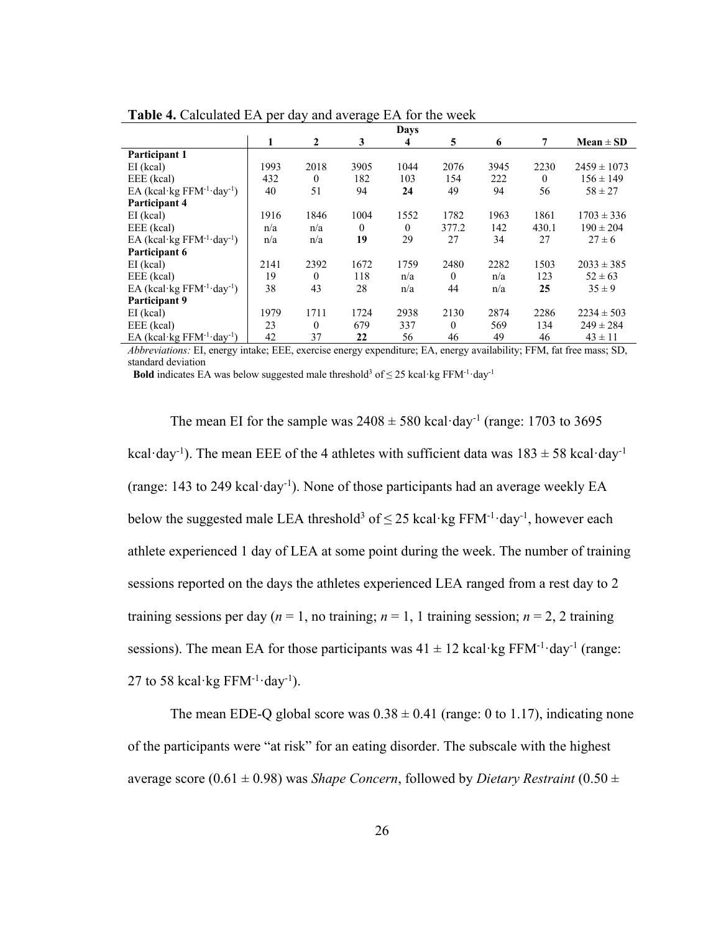|                                                    |      |              |              | <b>Days</b> |          |      |          |                 |
|----------------------------------------------------|------|--------------|--------------|-------------|----------|------|----------|-----------------|
|                                                    | 1    | $\mathbf{2}$ | 3            | 4           | 5        | 6    | 7        | $Mean \pm SD$   |
| Participant 1                                      |      |              |              |             |          |      |          |                 |
| $EI$ (kcal)                                        | 1993 | 2018         | 3905         | 1044        | 2076     | 3945 | 2230     | $2459 \pm 1073$ |
| EEE (kcal)                                         | 432  | $\mathbf{0}$ | 182          | 103         | 154      | 222  | $\theta$ | $156 \pm 149$   |
| EA (kcal·kg $FFM^{-1}$ ·day <sup>-1</sup> )        | 40   | 51           | 94           | 24          | 49       | 94   | 56       | $58 \pm 27$     |
| Participant 4                                      |      |              |              |             |          |      |          |                 |
| $EI$ (kcal)                                        | 1916 | 1846         | 1004         | 1552        | 1782     | 1963 | 1861     | $1703 \pm 336$  |
| EEE (kcal)                                         | n/a  | n/a          | $\mathbf{0}$ | $\theta$    | 377.2    | 142  | 430.1    | $190 \pm 204$   |
| EA (kcal·kg FFM <sup>-1</sup> ·day <sup>-1</sup> ) | n/a  | n/a          | 19           | 29          | 27       | 34   | 27       | $27 \pm 6$      |
| Participant 6                                      |      |              |              |             |          |      |          |                 |
| $EI$ (kcal)                                        | 2141 | 2392         | 1672         | 1759        | 2480     | 2282 | 1503     | $2033 \pm 385$  |
| EEE (kcal)                                         | 19   | $\theta$     | 118          | n/a         | $\theta$ | n/a  | 123      | $52 \pm 63$     |
| EA (kcal·kg $FFM^{-1}$ ·day <sup>-1</sup> )        | 38   | 43           | 28           | n/a         | 44       | n/a  | 25       | $35 \pm 9$      |
| <b>Participant 9</b>                               |      |              |              |             |          |      |          |                 |
| $EI$ (kcal)                                        | 1979 | 1711         | 1724         | 2938        | 2130     | 2874 | 2286     | $2234 \pm 503$  |
| EEE (kcal)                                         | 23   | $\theta$     | 679          | 337         | $\theta$ | 569  | 134      | $249 \pm 284$   |
| EA (kcal·kg $FFM^{-1}$ ·day <sup>-1</sup> )        | 42   | 37           | 22           | 56          | 46       | 49   | 46       | $43 \pm 11$     |

**Table 4.** Calculated EA per day and average EA for the week

*Abbreviations:* EI, energy intake; EEE, exercise energy expenditure; EA, energy availability; FFM, fat free mass; SD, standard deviation

**Bold** indicates EA was below suggested male threshold<sup>3</sup> of  $\leq$  25 kcal·kg FFM<sup>-1</sup>·day<sup>-1</sup>

The mean EI for the sample was  $2408 \pm 580$  kcal·day<sup>-1</sup> (range: 1703 to 3695) kcal·day<sup>-1</sup>). The mean EEE of the 4 athletes with sufficient data was  $183 \pm 58$  kcal·day<sup>-1</sup> (range: 143 to 249 kcal·day-1 ). None of those participants had an average weekly EA below the suggested male LEA threshold<sup>3</sup> of  $\leq$  25 kcal·kg FFM<sup>-1</sup>·day<sup>-1</sup>, however each athlete experienced 1 day of LEA at some point during the week. The number of training sessions reported on the days the athletes experienced LEA ranged from a rest day to 2 training sessions per day ( $n = 1$ , no training;  $n = 1$ , 1 training session;  $n = 2$ , 2 training sessions). The mean EA for those participants was  $41 \pm 12$  kcal·kg FFM<sup>-1</sup>·day<sup>-1</sup> (range: 27 to 58 kcal·kg  $FFM^{-1}$ ·day<sup>-1</sup>).

The mean EDE-Q global score was  $0.38 \pm 0.41$  (range: 0 to 1.17), indicating none of the participants were "at risk" for an eating disorder. The subscale with the highest average score ( $0.61 \pm 0.98$ ) was *Shape Concern*, followed by *Dietary Restraint* ( $0.50 \pm 0.50$ )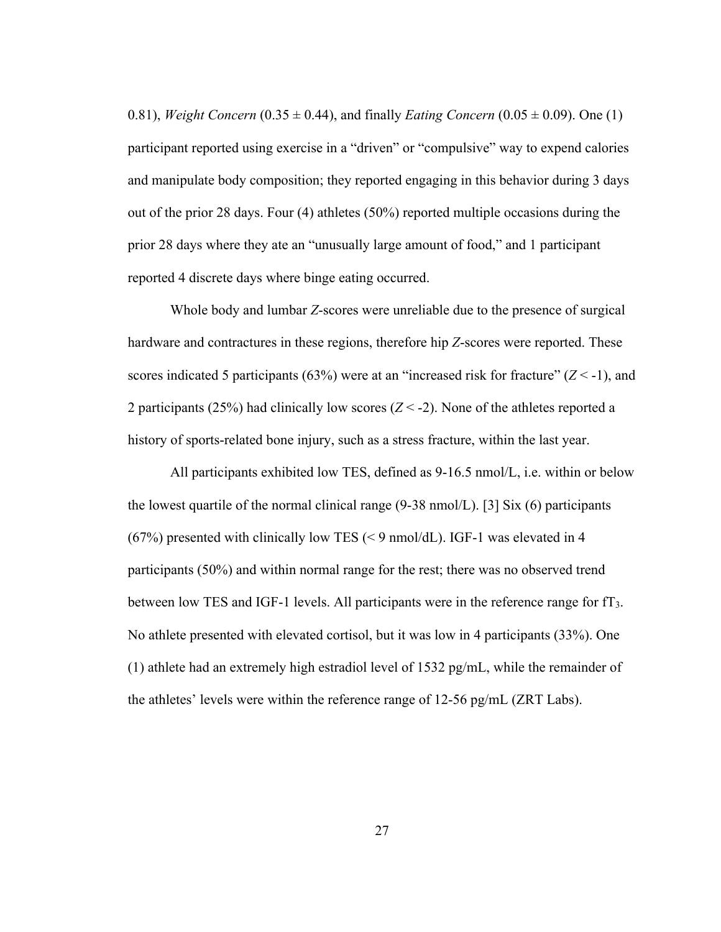0.81), *Weight Concern* (0.35  $\pm$  0.44), and finally *Eating Concern* (0.05  $\pm$  0.09). One (1) participant reported using exercise in a "driven" or "compulsive" way to expend calories and manipulate body composition; they reported engaging in this behavior during 3 days out of the prior 28 days. Four (4) athletes (50%) reported multiple occasions during the prior 28 days where they ate an "unusually large amount of food," and 1 participant reported 4 discrete days where binge eating occurred.

Whole body and lumbar *Z*-scores were unreliable due to the presence of surgical hardware and contractures in these regions, therefore hip *Z*-scores were reported. These scores indicated 5 participants (63%) were at an "increased risk for fracture" (*Z* < -1), and 2 participants (25%) had clinically low scores  $(Z < -2)$ . None of the athletes reported a history of sports-related bone injury, such as a stress fracture, within the last year.

All participants exhibited low TES, defined as 9-16.5 nmol/L, i.e. within or below the lowest quartile of the normal clinical range (9-38 nmol/L). [3] Six (6) participants (67%) presented with clinically low TES (< 9 nmol/dL). IGF-1 was elevated in 4 participants (50%) and within normal range for the rest; there was no observed trend between low TES and IGF-1 levels. All participants were in the reference range for fT3. No athlete presented with elevated cortisol, but it was low in 4 participants (33%). One (1) athlete had an extremely high estradiol level of 1532 pg/mL, while the remainder of the athletes' levels were within the reference range of 12-56 pg/mL (ZRT Labs).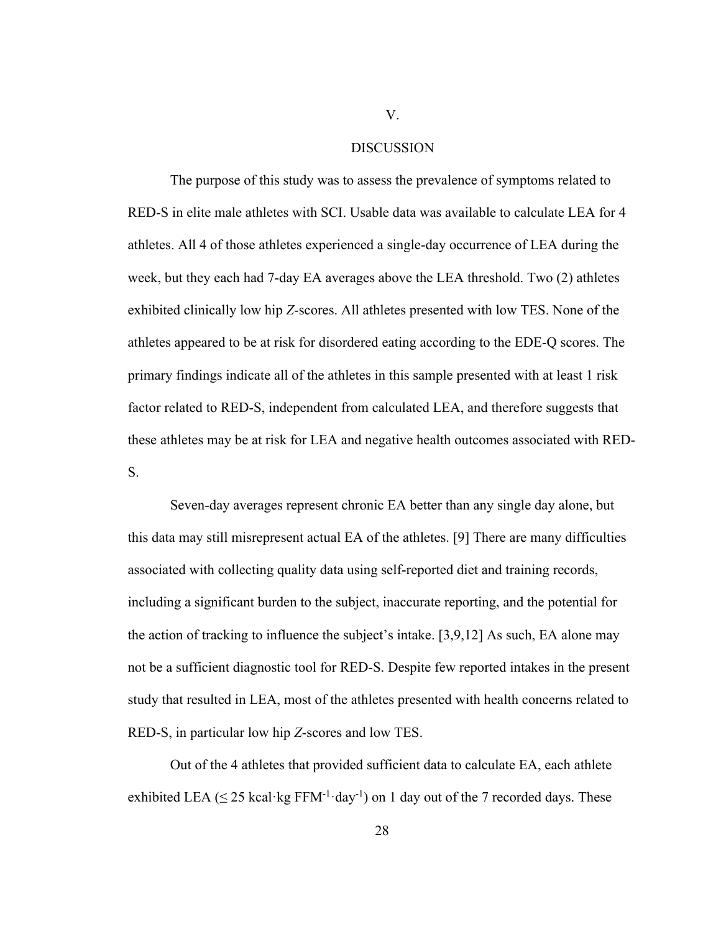#### DISCUSSION

The purpose of this study was to assess the prevalence of symptoms related to RED-S in elite male athletes with SCI. Usable data was available to calculate LEA for 4 athletes. All 4 of those athletes experienced a single-day occurrence of LEA during the week, but they each had 7-day EA averages above the LEA threshold. Two (2) athletes exhibited clinically low hip *Z*-scores. All athletes presented with low TES. None of the athletes appeared to be at risk for disordered eating according to the EDE-Q scores. The primary findings indicate all of the athletes in this sample presented with at least 1 risk factor related to RED-S, independent from calculated LEA, and therefore suggests that these athletes may be at risk for LEA and negative health outcomes associated with RED-S.

Seven-day averages represent chronic EA better than any single day alone, but this data may still misrepresent actual EA of the athletes. [9] There are many difficulties associated with collecting quality data using self-reported diet and training records, including a significant burden to the subject, inaccurate reporting, and the potential for the action of tracking to influence the subject's intake. [3,9,12] As such, EA alone may not be a sufficient diagnostic tool for RED-S. Despite few reported intakes in the present study that resulted in LEA, most of the athletes presented with health concerns related to RED-S, in particular low hip *Z*-scores and low TES.

Out of the 4 athletes that provided sufficient data to calculate EA, each athlete exhibited LEA ( $\leq$  25 kcal·kg FFM<sup>-1</sup>·day<sup>-1</sup>) on 1 day out of the 7 recorded days. These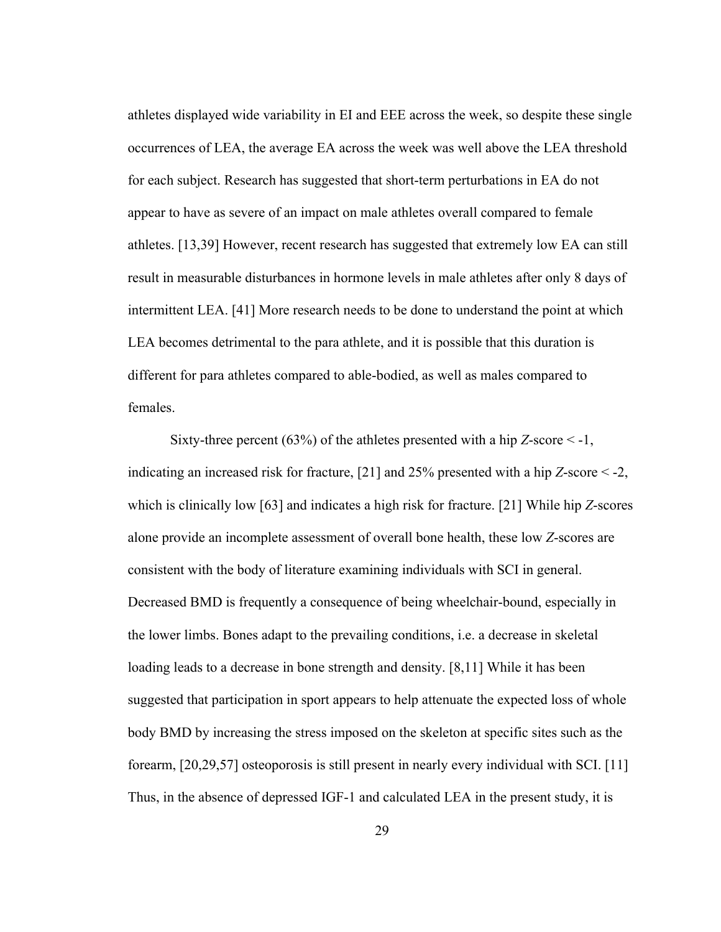athletes displayed wide variability in EI and EEE across the week, so despite these single occurrences of LEA, the average EA across the week was well above the LEA threshold for each subject. Research has suggested that short-term perturbations in EA do not appear to have as severe of an impact on male athletes overall compared to female athletes. [13,39] However, recent research has suggested that extremely low EA can still result in measurable disturbances in hormone levels in male athletes after only 8 days of intermittent LEA. [41] More research needs to be done to understand the point at which LEA becomes detrimental to the para athlete, and it is possible that this duration is different for para athletes compared to able-bodied, as well as males compared to females.

Sixty-three percent (63%) of the athletes presented with a hip *Z*-score < -1, indicating an increased risk for fracture, [21] and 25% presented with a hip *Z*-score < -2, which is clinically low [63] and indicates a high risk for fracture. [21] While hip *Z*-scores alone provide an incomplete assessment of overall bone health, these low *Z*-scores are consistent with the body of literature examining individuals with SCI in general. Decreased BMD is frequently a consequence of being wheelchair-bound, especially in the lower limbs. Bones adapt to the prevailing conditions, i.e. a decrease in skeletal loading leads to a decrease in bone strength and density. [8,11] While it has been suggested that participation in sport appears to help attenuate the expected loss of whole body BMD by increasing the stress imposed on the skeleton at specific sites such as the forearm, [20,29,57] osteoporosis is still present in nearly every individual with SCI. [11] Thus, in the absence of depressed IGF-1 and calculated LEA in the present study, it is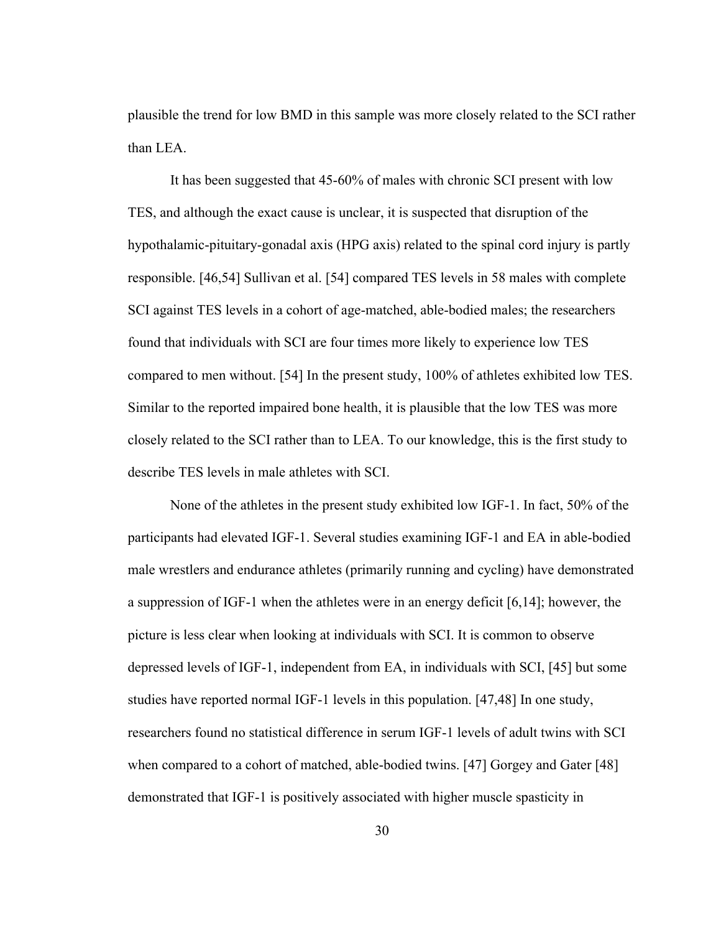plausible the trend for low BMD in this sample was more closely related to the SCI rather than LEA.

It has been suggested that 45-60% of males with chronic SCI present with low TES, and although the exact cause is unclear, it is suspected that disruption of the hypothalamic-pituitary-gonadal axis (HPG axis) related to the spinal cord injury is partly responsible. [46,54] Sullivan et al. [54] compared TES levels in 58 males with complete SCI against TES levels in a cohort of age-matched, able-bodied males; the researchers found that individuals with SCI are four times more likely to experience low TES compared to men without. [54] In the present study, 100% of athletes exhibited low TES. Similar to the reported impaired bone health, it is plausible that the low TES was more closely related to the SCI rather than to LEA. To our knowledge, this is the first study to describe TES levels in male athletes with SCI.

None of the athletes in the present study exhibited low IGF-1. In fact, 50% of the participants had elevated IGF-1. Several studies examining IGF-1 and EA in able-bodied male wrestlers and endurance athletes (primarily running and cycling) have demonstrated a suppression of IGF-1 when the athletes were in an energy deficit [6,14]; however, the picture is less clear when looking at individuals with SCI. It is common to observe depressed levels of IGF-1, independent from EA, in individuals with SCI, [45] but some studies have reported normal IGF-1 levels in this population. [47,48] In one study, researchers found no statistical difference in serum IGF-1 levels of adult twins with SCI when compared to a cohort of matched, able-bodied twins. [47] Gorgey and Gater [48] demonstrated that IGF-1 is positively associated with higher muscle spasticity in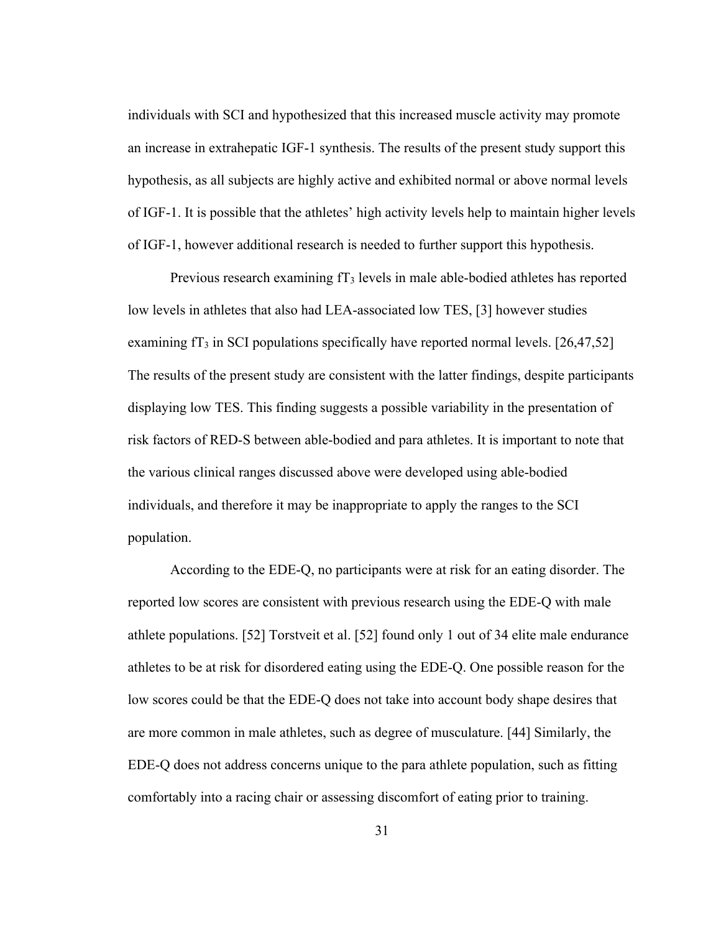individuals with SCI and hypothesized that this increased muscle activity may promote an increase in extrahepatic IGF-1 synthesis. The results of the present study support this hypothesis, as all subjects are highly active and exhibited normal or above normal levels of IGF-1. It is possible that the athletes' high activity levels help to maintain higher levels of IGF-1, however additional research is needed to further support this hypothesis.

Previous research examining fT<sub>3</sub> levels in male able-bodied athletes has reported low levels in athletes that also had LEA-associated low TES, [3] however studies examining  $f_3$  in SCI populations specifically have reported normal levels. [26,47,52] The results of the present study are consistent with the latter findings, despite participants displaying low TES. This finding suggests a possible variability in the presentation of risk factors of RED-S between able-bodied and para athletes. It is important to note that the various clinical ranges discussed above were developed using able-bodied individuals, and therefore it may be inappropriate to apply the ranges to the SCI population.

According to the EDE-Q, no participants were at risk for an eating disorder. The reported low scores are consistent with previous research using the EDE-Q with male athlete populations. [52] Torstveit et al. [52] found only 1 out of 34 elite male endurance athletes to be at risk for disordered eating using the EDE-Q. One possible reason for the low scores could be that the EDE-Q does not take into account body shape desires that are more common in male athletes, such as degree of musculature. [44] Similarly, the EDE-Q does not address concerns unique to the para athlete population, such as fitting comfortably into a racing chair or assessing discomfort of eating prior to training.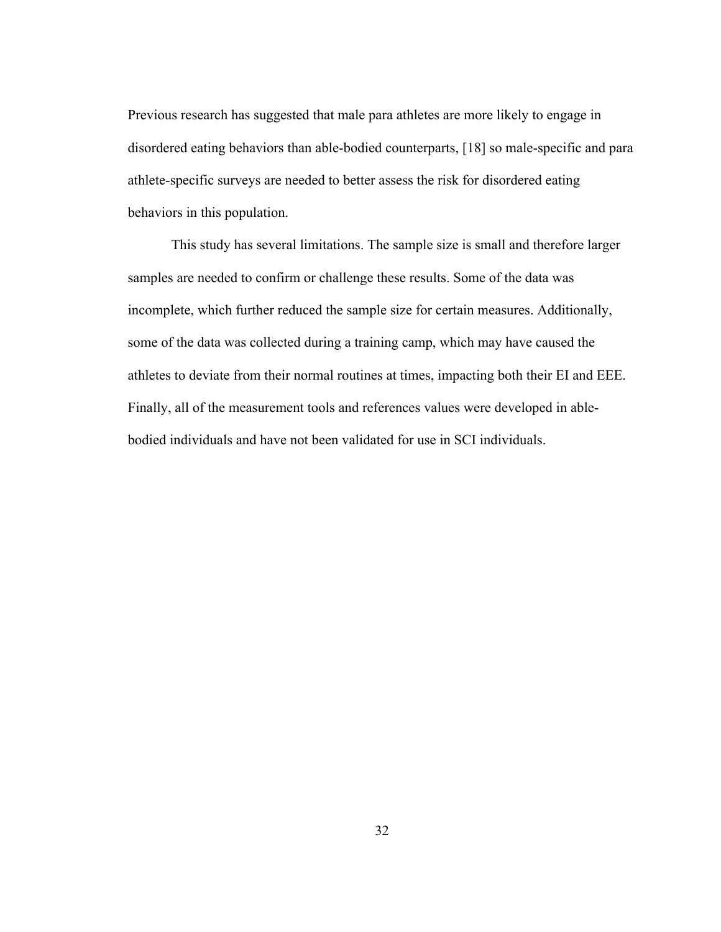Previous research has suggested that male para athletes are more likely to engage in disordered eating behaviors than able-bodied counterparts, [18] so male-specific and para athlete-specific surveys are needed to better assess the risk for disordered eating behaviors in this population.

This study has several limitations. The sample size is small and therefore larger samples are needed to confirm or challenge these results. Some of the data was incomplete, which further reduced the sample size for certain measures. Additionally, some of the data was collected during a training camp, which may have caused the athletes to deviate from their normal routines at times, impacting both their EI and EEE. Finally, all of the measurement tools and references values were developed in ablebodied individuals and have not been validated for use in SCI individuals.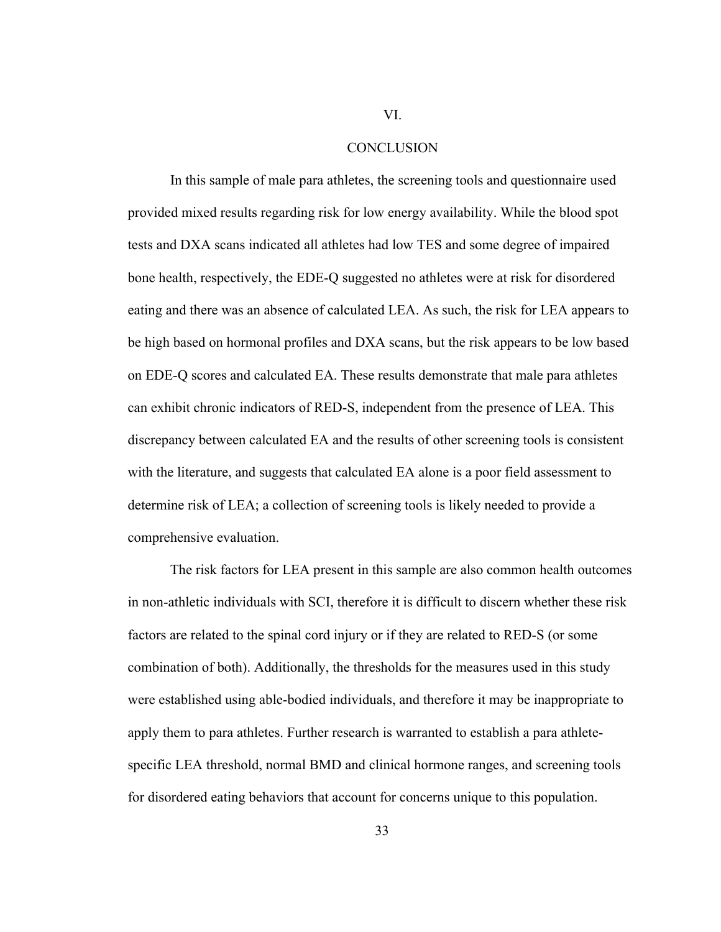#### **CONCLUSION**

In this sample of male para athletes, the screening tools and questionnaire used provided mixed results regarding risk for low energy availability. While the blood spot tests and DXA scans indicated all athletes had low TES and some degree of impaired bone health, respectively, the EDE-Q suggested no athletes were at risk for disordered eating and there was an absence of calculated LEA. As such, the risk for LEA appears to be high based on hormonal profiles and DXA scans, but the risk appears to be low based on EDE-Q scores and calculated EA. These results demonstrate that male para athletes can exhibit chronic indicators of RED-S, independent from the presence of LEA. This discrepancy between calculated EA and the results of other screening tools is consistent with the literature, and suggests that calculated EA alone is a poor field assessment to determine risk of LEA; a collection of screening tools is likely needed to provide a comprehensive evaluation.

The risk factors for LEA present in this sample are also common health outcomes in non-athletic individuals with SCI, therefore it is difficult to discern whether these risk factors are related to the spinal cord injury or if they are related to RED-S (or some combination of both). Additionally, the thresholds for the measures used in this study were established using able-bodied individuals, and therefore it may be inappropriate to apply them to para athletes. Further research is warranted to establish a para athletespecific LEA threshold, normal BMD and clinical hormone ranges, and screening tools for disordered eating behaviors that account for concerns unique to this population.

33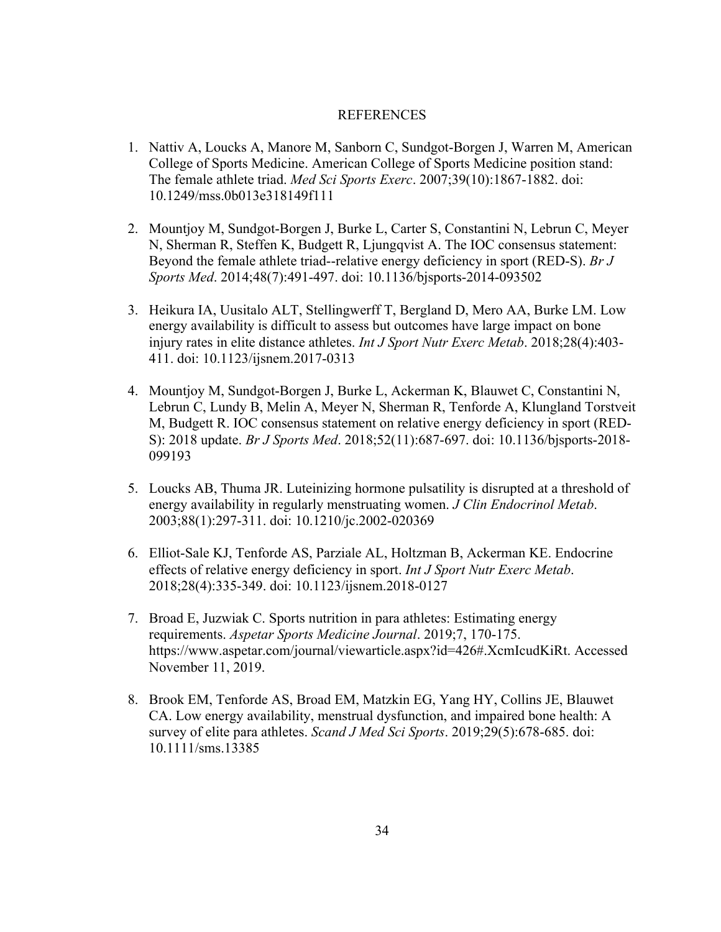#### REFERENCES

- 1. Nattiv A, Loucks A, Manore M, Sanborn C, Sundgot-Borgen J, Warren M, American College of Sports Medicine. American College of Sports Medicine position stand: The female athlete triad. *Med Sci Sports Exerc*. 2007;39(10):1867-1882. doi: 10.1249/mss.0b013e318149f111
- 2. Mountjoy M, Sundgot-Borgen J, Burke L, Carter S, Constantini N, Lebrun C, Meyer N, Sherman R, Steffen K, Budgett R, Ljungqvist A. The IOC consensus statement: Beyond the female athlete triad--relative energy deficiency in sport (RED-S). *Br J Sports Med*. 2014;48(7):491-497. doi: 10.1136/bjsports-2014-093502
- 3. Heikura IA, Uusitalo ALT, Stellingwerff T, Bergland D, Mero AA, Burke LM. Low energy availability is difficult to assess but outcomes have large impact on bone injury rates in elite distance athletes. *Int J Sport Nutr Exerc Metab*. 2018;28(4):403- 411. doi: 10.1123/ijsnem.2017-0313
- 4. Mountjoy M, Sundgot-Borgen J, Burke L, Ackerman K, Blauwet C, Constantini N, Lebrun C, Lundy B, Melin A, Meyer N, Sherman R, Tenforde A, Klungland Torstveit M, Budgett R. IOC consensus statement on relative energy deficiency in sport (RED-S): 2018 update. *Br J Sports Med*. 2018;52(11):687-697. doi: 10.1136/bjsports-2018- 099193
- 5. Loucks AB, Thuma JR. Luteinizing hormone pulsatility is disrupted at a threshold of energy availability in regularly menstruating women. *J Clin Endocrinol Metab*. 2003;88(1):297-311. doi: 10.1210/jc.2002-020369
- 6. Elliot-Sale KJ, Tenforde AS, Parziale AL, Holtzman B, Ackerman KE. Endocrine effects of relative energy deficiency in sport. *Int J Sport Nutr Exerc Metab*. 2018;28(4):335-349. doi: 10.1123/ijsnem.2018-0127
- 7. Broad E, Juzwiak C. Sports nutrition in para athletes: Estimating energy requirements. *Aspetar Sports Medicine Journal*. 2019;7, 170-175. https://www.aspetar.com/journal/viewarticle.aspx?id=426#.XcmIcudKiRt. Accessed November 11, 2019.
- 8. Brook EM, Tenforde AS, Broad EM, Matzkin EG, Yang HY, Collins JE, Blauwet CA. Low energy availability, menstrual dysfunction, and impaired bone health: A survey of elite para athletes. *Scand J Med Sci Sports*. 2019;29(5):678-685. doi: 10.1111/sms.13385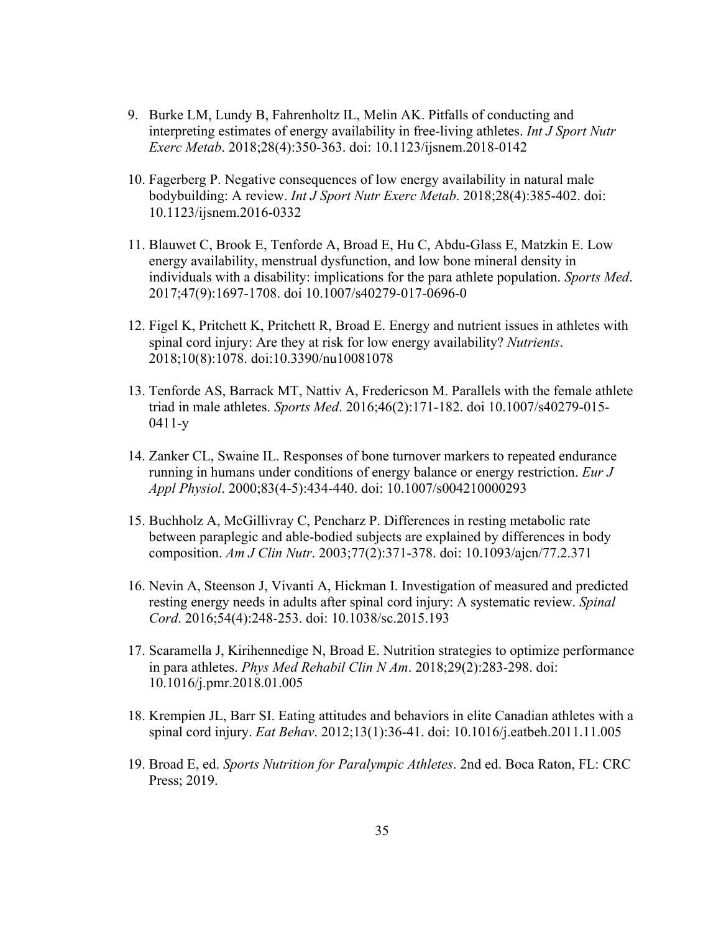- 9. Burke LM, Lundy B, Fahrenholtz IL, Melin AK. Pitfalls of conducting and interpreting estimates of energy availability in free-living athletes. *Int J Sport Nutr Exerc Metab*. 2018;28(4):350-363. doi: 10.1123/ijsnem.2018-0142
- 10. Fagerberg P. Negative consequences of low energy availability in natural male bodybuilding: A review. *Int J Sport Nutr Exerc Metab*. 2018;28(4):385-402. doi: 10.1123/ijsnem.2016-0332
- 11. Blauwet C, Brook E, Tenforde A, Broad E, Hu C, Abdu-Glass E, Matzkin E. Low energy availability, menstrual dysfunction, and low bone mineral density in individuals with a disability: implications for the para athlete population. *Sports Med*. 2017;47(9):1697-1708. doi 10.1007/s40279-017-0696-0
- 12. Figel K, Pritchett K, Pritchett R, Broad E. Energy and nutrient issues in athletes with spinal cord injury: Are they at risk for low energy availability? *Nutrients*. 2018;10(8):1078. doi:10.3390/nu10081078
- 13. Tenforde AS, Barrack MT, Nattiv A, Fredericson M. Parallels with the female athlete triad in male athletes. *Sports Med*. 2016;46(2):171-182. doi 10.1007/s40279-015- 0411-y
- 14. Zanker CL, Swaine IL. Responses of bone turnover markers to repeated endurance running in humans under conditions of energy balance or energy restriction. *Eur J Appl Physiol*. 2000;83(4-5):434-440. doi: 10.1007/s004210000293
- 15. Buchholz A, McGillivray C, Pencharz P. Differences in resting metabolic rate between paraplegic and able-bodied subjects are explained by differences in body composition. *Am J Clin Nutr*. 2003;77(2):371-378. doi: 10.1093/ajcn/77.2.371
- 16. Nevin A, Steenson J, Vivanti A, Hickman I. Investigation of measured and predicted resting energy needs in adults after spinal cord injury: A systematic review. *Spinal Cord*. 2016;54(4):248-253. doi: 10.1038/sc.2015.193
- 17. Scaramella J, Kirihennedige N, Broad E. Nutrition strategies to optimize performance in para athletes. *Phys Med Rehabil Clin N Am*. 2018;29(2):283-298. doi: 10.1016/j.pmr.2018.01.005
- 18. Krempien JL, Barr SI. Eating attitudes and behaviors in elite Canadian athletes with a spinal cord injury. *Eat Behav*. 2012;13(1):36-41. doi: 10.1016/j.eatbeh.2011.11.005
- 19. Broad E, ed. *Sports Nutrition for Paralympic Athletes*. 2nd ed. Boca Raton, FL: CRC Press; 2019.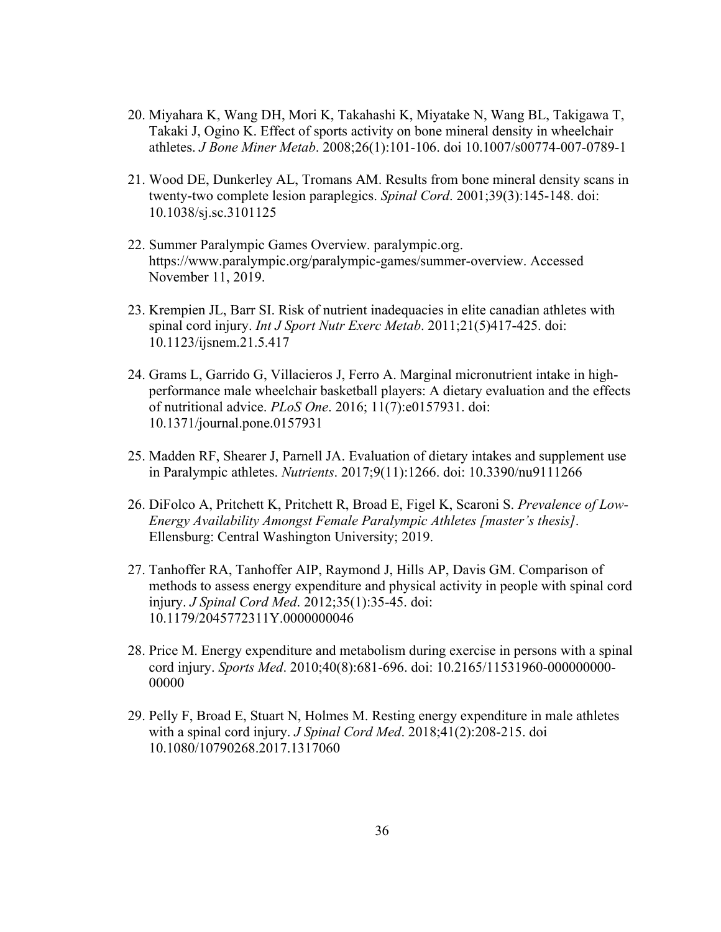- 20. Miyahara K, Wang DH, Mori K, Takahashi K, Miyatake N, Wang BL, Takigawa T, Takaki J, Ogino K. Effect of sports activity on bone mineral density in wheelchair athletes. *J Bone Miner Metab*. 2008;26(1):101-106. doi 10.1007/s00774-007-0789-1
- 21. Wood DE, Dunkerley AL, Tromans AM. Results from bone mineral density scans in twenty-two complete lesion paraplegics. *Spinal Cord*. 2001;39(3):145-148. doi: 10.1038/sj.sc.3101125
- 22. Summer Paralympic Games Overview. paralympic.org. https://www.paralympic.org/paralympic-games/summer-overview. Accessed November 11, 2019.
- 23. Krempien JL, Barr SI. Risk of nutrient inadequacies in elite canadian athletes with spinal cord injury. *Int J Sport Nutr Exerc Metab*. 2011;21(5)417-425. doi: 10.1123/ijsnem.21.5.417
- 24. Grams L, Garrido G, Villacieros J, Ferro A. Marginal micronutrient intake in highperformance male wheelchair basketball players: A dietary evaluation and the effects of nutritional advice. *PLoS One*. 2016; 11(7):e0157931. doi: 10.1371/journal.pone.0157931
- 25. Madden RF, Shearer J, Parnell JA. Evaluation of dietary intakes and supplement use in Paralympic athletes. *Nutrients*. 2017;9(11):1266. doi: 10.3390/nu9111266
- 26. DiFolco A, Pritchett K, Pritchett R, Broad E, Figel K, Scaroni S. *Prevalence of Low-Energy Availability Amongst Female Paralympic Athletes [master's thesis]*. Ellensburg: Central Washington University; 2019.
- 27. Tanhoffer RA, Tanhoffer AIP, Raymond J, Hills AP, Davis GM. Comparison of methods to assess energy expenditure and physical activity in people with spinal cord injury. *J Spinal Cord Med*. 2012;35(1):35-45. doi: 10.1179/2045772311Y.0000000046
- 28. Price M. Energy expenditure and metabolism during exercise in persons with a spinal cord injury. *Sports Med*. 2010;40(8):681-696. doi: 10.2165/11531960-000000000- 00000
- 29. Pelly F, Broad E, Stuart N, Holmes M. Resting energy expenditure in male athletes with a spinal cord injury. *J Spinal Cord Med*. 2018;41(2):208-215. doi 10.1080/10790268.2017.1317060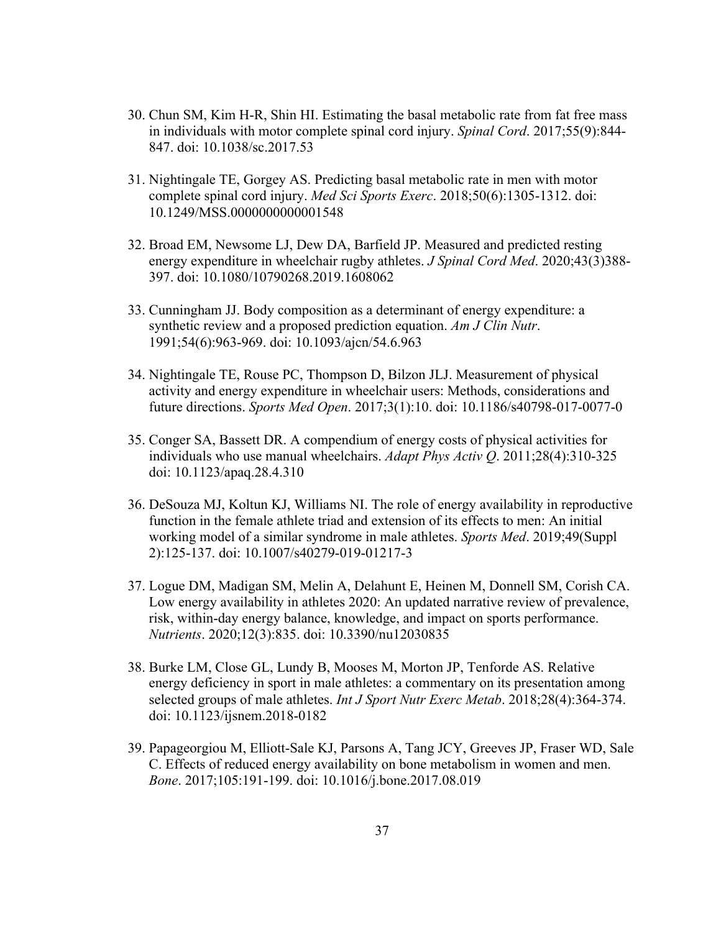- 30. Chun SM, Kim H-R, Shin HI. Estimating the basal metabolic rate from fat free mass in individuals with motor complete spinal cord injury. *Spinal Cord*. 2017;55(9):844- 847. doi: 10.1038/sc.2017.53
- 31. Nightingale TE, Gorgey AS. Predicting basal metabolic rate in men with motor complete spinal cord injury. *Med Sci Sports Exerc*. 2018;50(6):1305-1312. doi: 10.1249/MSS.0000000000001548
- 32. Broad EM, Newsome LJ, Dew DA, Barfield JP. Measured and predicted resting energy expenditure in wheelchair rugby athletes. *J Spinal Cord Med*. 2020;43(3)388- 397. doi: 10.1080/10790268.2019.1608062
- 33. Cunningham JJ. Body composition as a determinant of energy expenditure: a synthetic review and a proposed prediction equation. *Am J Clin Nutr*. 1991;54(6):963-969. doi: 10.1093/ajcn/54.6.963
- 34. Nightingale TE, Rouse PC, Thompson D, Bilzon JLJ. Measurement of physical activity and energy expenditure in wheelchair users: Methods, considerations and future directions. *Sports Med Open*. 2017;3(1):10. doi: 10.1186/s40798-017-0077-0
- 35. Conger SA, Bassett DR. A compendium of energy costs of physical activities for individuals who use manual wheelchairs. *Adapt Phys Activ Q*. 2011;28(4):310-325 doi: 10.1123/apaq.28.4.310
- 36. DeSouza MJ, Koltun KJ, Williams NI. The role of energy availability in reproductive function in the female athlete triad and extension of its effects to men: An initial working model of a similar syndrome in male athletes. *Sports Med*. 2019;49(Suppl 2):125-137. doi: 10.1007/s40279-019-01217-3
- 37. Logue DM, Madigan SM, Melin A, Delahunt E, Heinen M, Donnell SM, Corish CA. Low energy availability in athletes 2020: An updated narrative review of prevalence, risk, within-day energy balance, knowledge, and impact on sports performance. *Nutrients*. 2020;12(3):835. doi: 10.3390/nu12030835
- 38. Burke LM, Close GL, Lundy B, Mooses M, Morton JP, Tenforde AS. Relative energy deficiency in sport in male athletes: a commentary on its presentation among selected groups of male athletes. *Int J Sport Nutr Exerc Metab*. 2018;28(4):364-374. doi: 10.1123/ijsnem.2018-0182
- 39. Papageorgiou M, Elliott-Sale KJ, Parsons A, Tang JCY, Greeves JP, Fraser WD, Sale C. Effects of reduced energy availability on bone metabolism in women and men. *Bone*. 2017;105:191-199. doi: 10.1016/j.bone.2017.08.019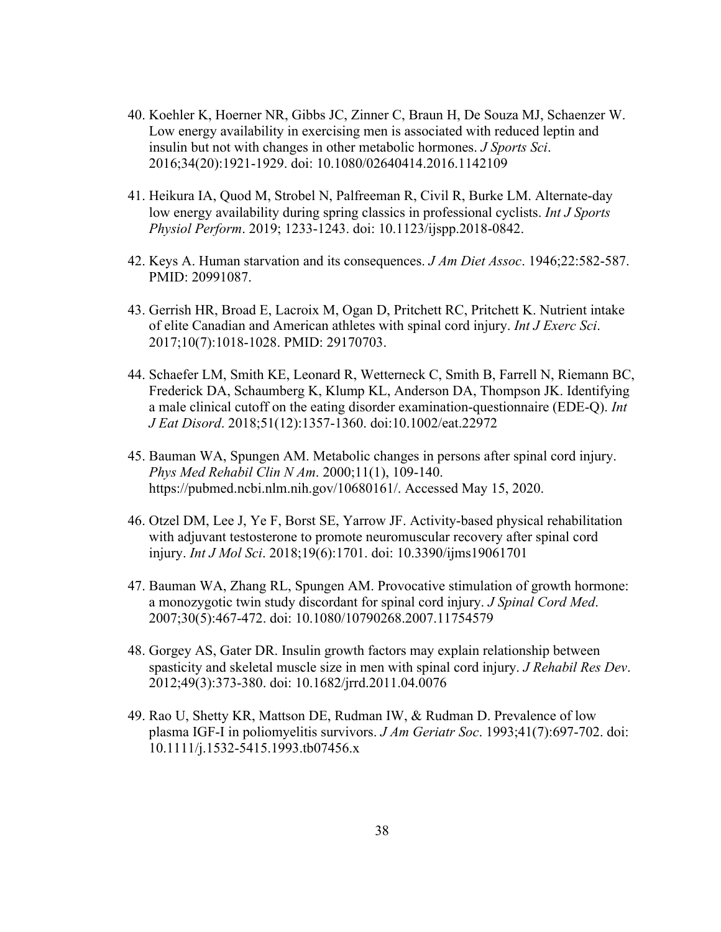- 40. Koehler K, Hoerner NR, Gibbs JC, Zinner C, Braun H, De Souza MJ, Schaenzer W. Low energy availability in exercising men is associated with reduced leptin and insulin but not with changes in other metabolic hormones. *J Sports Sci*. 2016;34(20):1921-1929. doi: 10.1080/02640414.2016.1142109
- 41. Heikura IA, Quod M, Strobel N, Palfreeman R, Civil R, Burke LM. Alternate-day low energy availability during spring classics in professional cyclists. *Int J Sports Physiol Perform*. 2019; 1233-1243. doi: 10.1123/ijspp.2018-0842.
- 42. Keys A. Human starvation and its consequences. *J Am Diet Assoc*. 1946;22:582-587. PMID: 20991087.
- 43. Gerrish HR, Broad E, Lacroix M, Ogan D, Pritchett RC, Pritchett K. Nutrient intake of elite Canadian and American athletes with spinal cord injury. *Int J Exerc Sci*. 2017;10(7):1018-1028. PMID: 29170703.
- 44. Schaefer LM, Smith KE, Leonard R, Wetterneck C, Smith B, Farrell N, Riemann BC, Frederick DA, Schaumberg K, Klump KL, Anderson DA, Thompson JK. Identifying a male clinical cutoff on the eating disorder examination-questionnaire (EDE-Q). *Int J Eat Disord*. 2018;51(12):1357-1360. doi:10.1002/eat.22972
- 45. Bauman WA, Spungen AM. Metabolic changes in persons after spinal cord injury. *Phys Med Rehabil Clin N Am*. 2000;11(1), 109-140. https://pubmed.ncbi.nlm.nih.gov/10680161/. Accessed May 15, 2020.
- 46. Otzel DM, Lee J, Ye F, Borst SE, Yarrow JF. Activity-based physical rehabilitation with adjuvant testosterone to promote neuromuscular recovery after spinal cord injury. *Int J Mol Sci*. 2018;19(6):1701. doi: 10.3390/ijms19061701
- 47. Bauman WA, Zhang RL, Spungen AM. Provocative stimulation of growth hormone: a monozygotic twin study discordant for spinal cord injury. *J Spinal Cord Med*. 2007;30(5):467-472. doi: 10.1080/10790268.2007.11754579
- 48. Gorgey AS, Gater DR. Insulin growth factors may explain relationship between spasticity and skeletal muscle size in men with spinal cord injury. *J Rehabil Res Dev*. 2012;49(3):373-380. doi: 10.1682/jrrd.2011.04.0076
- 49. Rao U, Shetty KR, Mattson DE, Rudman IW, & Rudman D. Prevalence of low plasma IGF-I in poliomyelitis survivors. *J Am Geriatr Soc*. 1993;41(7):697-702. doi: 10.1111/j.1532-5415.1993.tb07456.x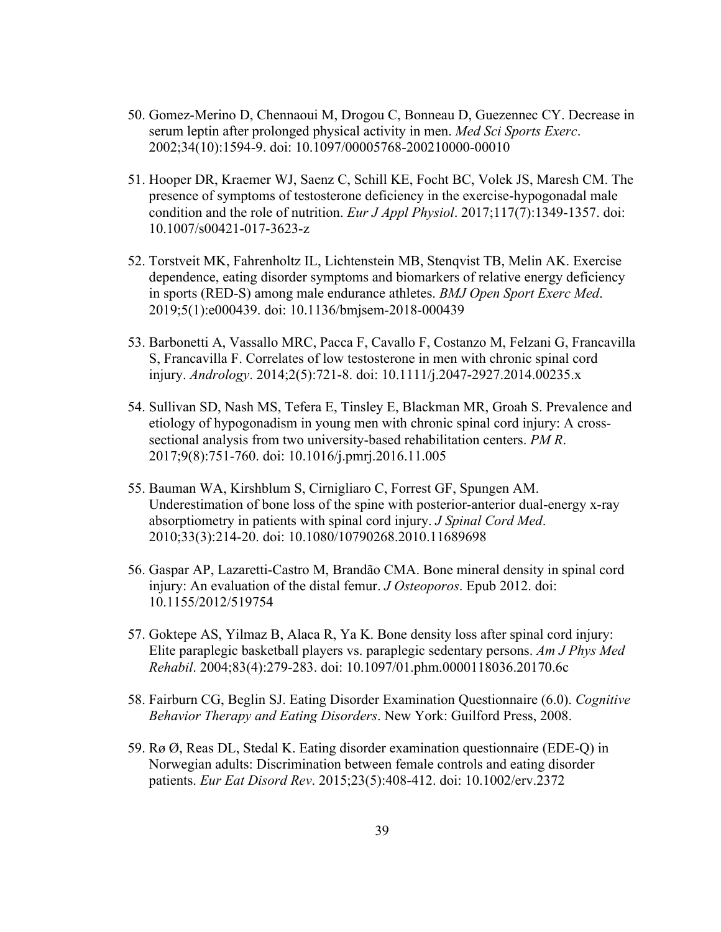- 50. Gomez-Merino D, Chennaoui M, Drogou C, Bonneau D, Guezennec CY. Decrease in serum leptin after prolonged physical activity in men. *Med Sci Sports Exerc*. 2002;34(10):1594-9. doi: 10.1097/00005768-200210000-00010
- 51. Hooper DR, Kraemer WJ, Saenz C, Schill KE, Focht BC, Volek JS, Maresh CM. The presence of symptoms of testosterone deficiency in the exercise-hypogonadal male condition and the role of nutrition. *Eur J Appl Physiol*. 2017;117(7):1349-1357. doi: 10.1007/s00421-017-3623-z
- 52. Torstveit MK, Fahrenholtz IL, Lichtenstein MB, Stenqvist TB, Melin AK. Exercise dependence, eating disorder symptoms and biomarkers of relative energy deficiency in sports (RED-S) among male endurance athletes. *BMJ Open Sport Exerc Med*. 2019;5(1):e000439. doi: 10.1136/bmjsem-2018-000439
- 53. Barbonetti A, Vassallo MRC, Pacca F, Cavallo F, Costanzo M, Felzani G, Francavilla S, Francavilla F. Correlates of low testosterone in men with chronic spinal cord injury. *Andrology*. 2014;2(5):721-8. doi: 10.1111/j.2047-2927.2014.00235.x
- 54. Sullivan SD, Nash MS, Tefera E, Tinsley E, Blackman MR, Groah S. Prevalence and etiology of hypogonadism in young men with chronic spinal cord injury: A crosssectional analysis from two university-based rehabilitation centers. *PM R*. 2017;9(8):751-760. doi: 10.1016/j.pmrj.2016.11.005
- 55. Bauman WA, Kirshblum S, Cirnigliaro C, Forrest GF, Spungen AM. Underestimation of bone loss of the spine with posterior-anterior dual-energy x-ray absorptiometry in patients with spinal cord injury. *J Spinal Cord Med*. 2010;33(3):214-20. doi: 10.1080/10790268.2010.11689698
- 56. Gaspar AP, Lazaretti-Castro M, Brandão CMA. Bone mineral density in spinal cord injury: An evaluation of the distal femur. *J Osteoporos*. Epub 2012. doi: 10.1155/2012/519754
- 57. Goktepe AS, Yilmaz B, Alaca R, Ya K. Bone density loss after spinal cord injury: Elite paraplegic basketball players vs. paraplegic sedentary persons. *Am J Phys Med Rehabil*. 2004;83(4):279-283. doi: 10.1097/01.phm.0000118036.20170.6c
- 58. Fairburn CG, Beglin SJ. Eating Disorder Examination Questionnaire (6.0). *Cognitive Behavior Therapy and Eating Disorders*. New York: Guilford Press, 2008.
- 59. Rø Ø, Reas DL, Stedal K. Eating disorder examination questionnaire (EDE-Q) in Norwegian adults: Discrimination between female controls and eating disorder patients. *Eur Eat Disord Rev*. 2015;23(5):408-412. doi: 10.1002/erv.2372